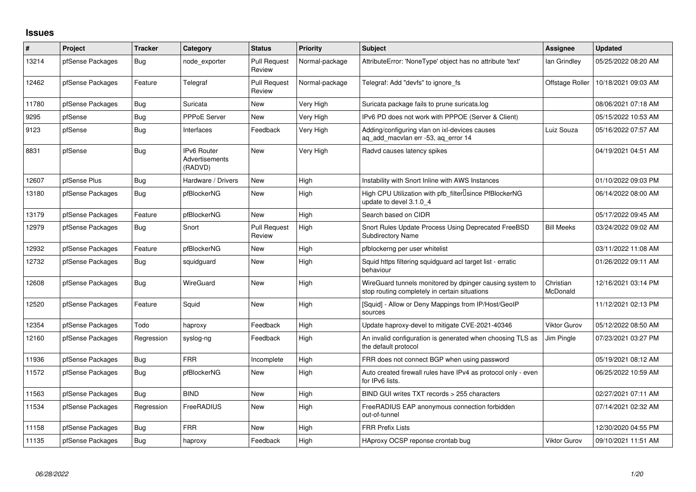## **Issues**

| #     | Project          | <b>Tracker</b> | Category                                               | <b>Status</b>                 | <b>Priority</b> | <b>Subject</b>                                                                                            | Assignee              | <b>Updated</b>      |
|-------|------------------|----------------|--------------------------------------------------------|-------------------------------|-----------------|-----------------------------------------------------------------------------------------------------------|-----------------------|---------------------|
| 13214 | pfSense Packages | <b>Bug</b>     | node exporter                                          | <b>Pull Request</b><br>Review | Normal-package  | AttributeError: 'NoneType' object has no attribute 'text'                                                 | lan Grindley          | 05/25/2022 08:20 AM |
| 12462 | pfSense Packages | Feature        | Telegraf                                               | <b>Pull Request</b><br>Review | Normal-package  | Telegraf: Add "devfs" to ignore fs                                                                        | Offstage Roller       | 10/18/2021 09:03 AM |
| 11780 | pfSense Packages | Bug            | Suricata                                               | New                           | Very High       | Suricata package fails to prune suricata.log                                                              |                       | 08/06/2021 07:18 AM |
| 9295  | pfSense          | Bug            | <b>PPPoE Server</b>                                    | <b>New</b>                    | Very High       | IPv6 PD does not work with PPPOE (Server & Client)                                                        |                       | 05/15/2022 10:53 AM |
| 9123  | pfSense          | Bug            | Interfaces                                             | Feedback                      | Very High       | Adding/configuring vlan on ixl-devices causes<br>aq_add_macvlan err -53, aq_error 14                      | Luiz Souza            | 05/16/2022 07:57 AM |
| 8831  | pfSense          | <b>Bug</b>     | <b>IPv6 Router</b><br><b>Advertisements</b><br>(RADVD) | <b>New</b>                    | Very High       | Radvd causes latency spikes                                                                               |                       | 04/19/2021 04:51 AM |
| 12607 | pfSense Plus     | <b>Bug</b>     | Hardware / Drivers                                     | <b>New</b>                    | High            | Instability with Snort Inline with AWS Instances                                                          |                       | 01/10/2022 09:03 PM |
| 13180 | pfSense Packages | <b>Bug</b>     | pfBlockerNG                                            | New                           | High            | High CPU Utilization with pfb filter Isince PfBlockerNG<br>update to devel 3.1.0_4                        |                       | 06/14/2022 08:00 AM |
| 13179 | pfSense Packages | Feature        | pfBlockerNG                                            | <b>New</b>                    | High            | Search based on CIDR                                                                                      |                       | 05/17/2022 09:45 AM |
| 12979 | pfSense Packages | Bug            | Snort                                                  | <b>Pull Request</b><br>Review | High            | Snort Rules Update Process Using Deprecated FreeBSD<br><b>Subdirectory Name</b>                           | <b>Bill Meeks</b>     | 03/24/2022 09:02 AM |
| 12932 | pfSense Packages | Feature        | pfBlockerNG                                            | <b>New</b>                    | High            | pfblockerng per user whitelist                                                                            |                       | 03/11/2022 11:08 AM |
| 12732 | pfSense Packages | Bug            | squidguard                                             | <b>New</b>                    | High            | Squid https filtering squidguard acl target list - erratic<br>behaviour                                   |                       | 01/26/2022 09:11 AM |
| 12608 | pfSense Packages | <b>Bug</b>     | WireGuard                                              | <b>New</b>                    | High            | WireGuard tunnels monitored by dpinger causing system to<br>stop routing completely in certain situations | Christian<br>McDonald | 12/16/2021 03:14 PM |
| 12520 | pfSense Packages | Feature        | Squid                                                  | <b>New</b>                    | High            | [Squid] - Allow or Deny Mappings from IP/Host/GeoIP<br>sources                                            |                       | 11/12/2021 02:13 PM |
| 12354 | pfSense Packages | Todo           | haproxy                                                | Feedback                      | High            | Update haproxy-devel to mitigate CVE-2021-40346                                                           | <b>Viktor Gurov</b>   | 05/12/2022 08:50 AM |
| 12160 | pfSense Packages | Regression     | syslog-ng                                              | Feedback                      | High            | An invalid configuration is generated when choosing TLS as<br>the default protocol                        | Jim Pingle            | 07/23/2021 03:27 PM |
| 11936 | pfSense Packages | Bug            | <b>FRR</b>                                             | Incomplete                    | High            | FRR does not connect BGP when using password                                                              |                       | 05/19/2021 08:12 AM |
| 11572 | pfSense Packages | <b>Bug</b>     | pfBlockerNG                                            | New                           | High            | Auto created firewall rules have IPv4 as protocol only - even<br>for IPv6 lists.                          |                       | 06/25/2022 10:59 AM |
| 11563 | pfSense Packages | Bug            | <b>BIND</b>                                            | <b>New</b>                    | High            | BIND GUI writes TXT records > 255 characters                                                              |                       | 02/27/2021 07:11 AM |
| 11534 | pfSense Packages | Regression     | FreeRADIUS                                             | New                           | High            | FreeRADIUS EAP anonymous connection forbidden<br>out-of-tunnel                                            |                       | 07/14/2021 02:32 AM |
| 11158 | pfSense Packages | Bug            | <b>FRR</b>                                             | New                           | High            | <b>FRR Prefix Lists</b>                                                                                   |                       | 12/30/2020 04:55 PM |
| 11135 | pfSense Packages | Bug            | haproxy                                                | Feedback                      | High            | HAproxy OCSP reponse crontab bug                                                                          | <b>Viktor Gurov</b>   | 09/10/2021 11:51 AM |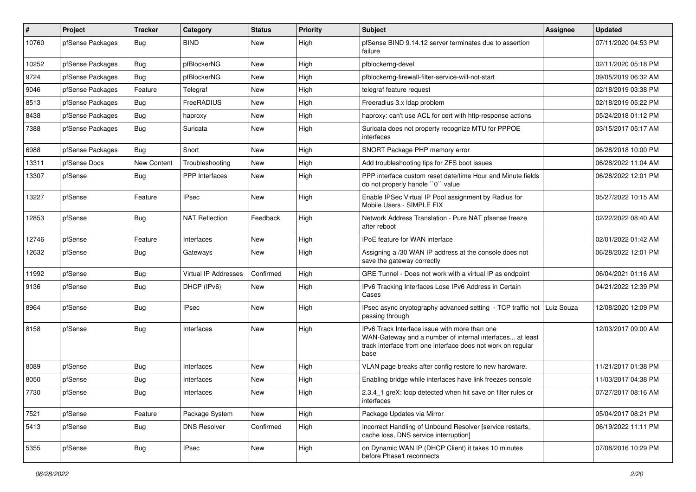| #     | Project          | <b>Tracker</b>     | Category              | <b>Status</b> | <b>Priority</b> | <b>Subject</b>                                                                                                                                                                   | <b>Assignee</b> | <b>Updated</b>      |
|-------|------------------|--------------------|-----------------------|---------------|-----------------|----------------------------------------------------------------------------------------------------------------------------------------------------------------------------------|-----------------|---------------------|
| 10760 | pfSense Packages | <b>Bug</b>         | <b>BIND</b>           | New           | High            | pfSense BIND 9.14.12 server terminates due to assertion<br>failure                                                                                                               |                 | 07/11/2020 04:53 PM |
| 10252 | pfSense Packages | <b>Bug</b>         | pfBlockerNG           | New           | High            | pfblockerng-devel                                                                                                                                                                |                 | 02/11/2020 05:18 PM |
| 9724  | pfSense Packages | <b>Bug</b>         | pfBlockerNG           | <b>New</b>    | High            | pfblockerng-firewall-filter-service-will-not-start                                                                                                                               |                 | 09/05/2019 06:32 AM |
| 9046  | pfSense Packages | Feature            | Telegraf              | New           | High            | telegraf feature request                                                                                                                                                         |                 | 02/18/2019 03:38 PM |
| 8513  | pfSense Packages | <b>Bug</b>         | FreeRADIUS            | New           | High            | Freeradius 3.x Idap problem                                                                                                                                                      |                 | 02/18/2019 05:22 PM |
| 8438  | pfSense Packages | <b>Bug</b>         | haproxy               | New           | High            | haproxy: can't use ACL for cert with http-response actions                                                                                                                       |                 | 05/24/2018 01:12 PM |
| 7388  | pfSense Packages | Bug                | Suricata              | New           | High            | Suricata does not property recognize MTU for PPPOE<br>interfaces                                                                                                                 |                 | 03/15/2017 05:17 AM |
| 6988  | pfSense Packages | Bug                | Snort                 | <b>New</b>    | High            | SNORT Package PHP memory error                                                                                                                                                   |                 | 06/28/2018 10:00 PM |
| 13311 | pfSense Docs     | <b>New Content</b> | Troubleshooting       | <b>New</b>    | High            | Add troubleshooting tips for ZFS boot issues                                                                                                                                     |                 | 06/28/2022 11:04 AM |
| 13307 | pfSense          | <b>Bug</b>         | <b>PPP</b> Interfaces | New           | High            | PPP interface custom reset date/time Hour and Minute fields<br>do not properly handle "0" value                                                                                  |                 | 06/28/2022 12:01 PM |
| 13227 | pfSense          | Feature            | <b>IPsec</b>          | <b>New</b>    | High            | Enable IPSec Virtual IP Pool assignment by Radius for<br>Mobile Users - SIMPLE FIX                                                                                               |                 | 05/27/2022 10:15 AM |
| 12853 | pfSense          | Bug                | <b>NAT Reflection</b> | Feedback      | High            | Network Address Translation - Pure NAT pfsense freeze<br>after reboot                                                                                                            |                 | 02/22/2022 08:40 AM |
| 12746 | pfSense          | Feature            | Interfaces            | <b>New</b>    | High            | IPoE feature for WAN interface                                                                                                                                                   |                 | 02/01/2022 01:42 AM |
| 12632 | pfSense          | <b>Bug</b>         | Gateways              | New           | High            | Assigning a /30 WAN IP address at the console does not<br>save the gateway correctly                                                                                             |                 | 06/28/2022 12:01 PM |
| 11992 | pfSense          | <b>Bug</b>         | Virtual IP Addresses  | Confirmed     | High            | GRE Tunnel - Does not work with a virtual IP as endpoint                                                                                                                         |                 | 06/04/2021 01:16 AM |
| 9136  | pfSense          | <b>Bug</b>         | DHCP (IPv6)           | <b>New</b>    | High            | IPv6 Tracking Interfaces Lose IPv6 Address in Certain<br>Cases                                                                                                                   |                 | 04/21/2022 12:39 PM |
| 8964  | pfSense          | Bug                | <b>IPsec</b>          | <b>New</b>    | High            | IPsec async cryptography advanced setting - TCP traffic not   Luiz Souza<br>passing through                                                                                      |                 | 12/08/2020 12:09 PM |
| 8158  | pfSense          | Bug                | Interfaces            | New           | High            | IPv6 Track Interface issue with more than one<br>WAN-Gateway and a number of internal interfaces at least<br>track interface from one interface does not work on regular<br>base |                 | 12/03/2017 09:00 AM |
| 8089  | pfSense          | <b>Bug</b>         | Interfaces            | <b>New</b>    | High            | VLAN page breaks after config restore to new hardware.                                                                                                                           |                 | 11/21/2017 01:38 PM |
| 8050  | pfSense          | <b>Bug</b>         | Interfaces            | New           | High            | Enabling bridge while interfaces have link freezes console                                                                                                                       |                 | 11/03/2017 04:38 PM |
| 7730  | pfSense          | <b>Bug</b>         | Interfaces            | New           | High            | 2.3.4_1 greX: loop detected when hit save on filter rules or<br>interfaces                                                                                                       |                 | 07/27/2017 08:16 AM |
| 7521  | pfSense          | Feature            | Package System        | New           | High            | Package Updates via Mirror                                                                                                                                                       |                 | 05/04/2017 08:21 PM |
| 5413  | pfSense          | <b>Bug</b>         | <b>DNS Resolver</b>   | Confirmed     | High            | Incorrect Handling of Unbound Resolver [service restarts,<br>cache loss, DNS service interruption]                                                                               |                 | 06/19/2022 11:11 PM |
| 5355  | pfSense          | <b>Bug</b>         | <b>IPsec</b>          | New           | High            | on Dynamic WAN IP (DHCP Client) it takes 10 minutes<br>before Phase1 reconnects                                                                                                  |                 | 07/08/2016 10:29 PM |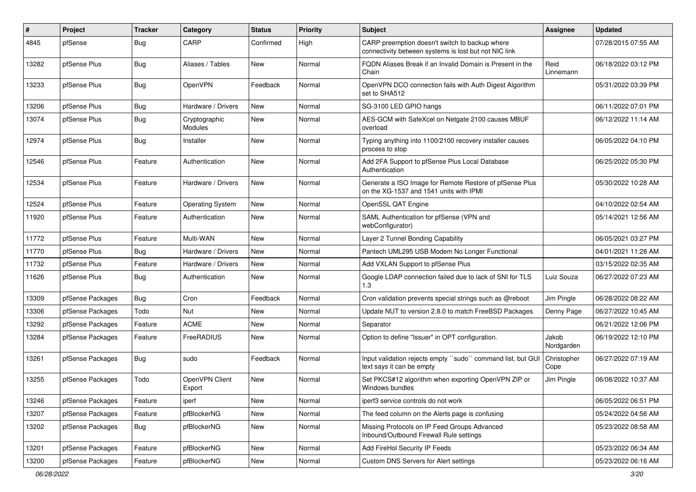| $\pmb{\#}$ | Project          | <b>Tracker</b> | Category                        | <b>Status</b> | <b>Priority</b> | <b>Subject</b>                                                                                          | Assignee            | <b>Updated</b>      |
|------------|------------------|----------------|---------------------------------|---------------|-----------------|---------------------------------------------------------------------------------------------------------|---------------------|---------------------|
| 4845       | pfSense          | <b>Bug</b>     | CARP                            | Confirmed     | High            | CARP preemption doesn't switch to backup where<br>connectivity between systems is lost but not NIC link |                     | 07/28/2015 07:55 AM |
| 13282      | pfSense Plus     | <b>Bug</b>     | Aliases / Tables                | New           | Normal          | FQDN Aliases Break if an Invalid Domain is Present in the<br>Chain                                      | Reid<br>Linnemann   | 06/18/2022 03:12 PM |
| 13233      | pfSense Plus     | <b>Bug</b>     | OpenVPN                         | Feedback      | Normal          | OpenVPN DCO connection fails with Auth Digest Algorithm<br>set to SHA512                                |                     | 05/31/2022 03:39 PM |
| 13206      | pfSense Plus     | <b>Bug</b>     | Hardware / Drivers              | <b>New</b>    | Normal          | SG-3100 LED GPIO hangs                                                                                  |                     | 06/11/2022 07:01 PM |
| 13074      | pfSense Plus     | <b>Bug</b>     | Cryptographic<br><b>Modules</b> | <b>New</b>    | Normal          | AES-GCM with SafeXcel on Netgate 2100 causes MBUF<br>overload                                           |                     | 06/12/2022 11:14 AM |
| 12974      | pfSense Plus     | <b>Bug</b>     | Installer                       | <b>New</b>    | Normal          | Typing anything into 1100/2100 recovery installer causes<br>process to stop                             |                     | 06/05/2022 04:10 PM |
| 12546      | pfSense Plus     | Feature        | Authentication                  | New           | Normal          | Add 2FA Support to pfSense Plus Local Database<br>Authentication                                        |                     | 06/25/2022 05:30 PM |
| 12534      | pfSense Plus     | Feature        | Hardware / Drivers              | New           | Normal          | Generate a ISO Image for Remote Restore of pfSense Plus<br>on the XG-1537 and 1541 units with IPMI      |                     | 05/30/2022 10:28 AM |
| 12524      | pfSense Plus     | Feature        | <b>Operating System</b>         | <b>New</b>    | Normal          | OpenSSL QAT Engine                                                                                      |                     | 04/10/2022 02:54 AM |
| 11920      | pfSense Plus     | Feature        | Authentication                  | <b>New</b>    | Normal          | SAML Authentication for pfSense (VPN and<br>webConfigurator)                                            |                     | 05/14/2021 12:56 AM |
| 11772      | pfSense Plus     | Feature        | Multi-WAN                       | <b>New</b>    | Normal          | Layer 2 Tunnel Bonding Capability                                                                       |                     | 06/05/2021 03:27 PM |
| 11770      | pfSense Plus     | Bug            | Hardware / Drivers              | <b>New</b>    | Normal          | Pantech UML295 USB Modem No Longer Functional                                                           |                     | 04/01/2021 11:28 AM |
| 11732      | pfSense Plus     | Feature        | Hardware / Drivers              | <b>New</b>    | Normal          | Add VXLAN Support to pfSense Plus                                                                       |                     | 03/15/2022 02:35 AM |
| 11626      | pfSense Plus     | <b>Bug</b>     | Authentication                  | New           | Normal          | Google LDAP connection failed due to lack of SNI for TLS<br>1.3                                         | Luiz Souza          | 06/27/2022 07:23 AM |
| 13309      | pfSense Packages | <b>Bug</b>     | Cron                            | Feedback      | Normal          | Cron validation prevents special strings such as @reboot                                                | Jim Pingle          | 06/28/2022 08:22 AM |
| 13306      | pfSense Packages | Todo           | Nut                             | <b>New</b>    | Normal          | Update NUT to version 2.8.0 to match FreeBSD Packages                                                   | Denny Page          | 06/27/2022 10:45 AM |
| 13292      | pfSense Packages | Feature        | <b>ACME</b>                     | New           | Normal          | Separator                                                                                               |                     | 06/21/2022 12:06 PM |
| 13284      | pfSense Packages | Feature        | FreeRADIUS                      | New           | Normal          | Option to define "Issuer" in OPT configuration.                                                         | Jakob<br>Nordgarden | 06/19/2022 12:10 PM |
| 13261      | pfSense Packages | <b>Bug</b>     | sudo                            | Feedback      | Normal          | Input validation rejects empty "sudo" command list, but GUI<br>text says it can be empty                | Christopher<br>Cope | 06/27/2022 07:19 AM |
| 13255      | pfSense Packages | Todo           | OpenVPN Client<br>Export        | <b>New</b>    | Normal          | Set PKCS#12 algorithm when exporting OpenVPN ZIP or<br>Windows bundles                                  | Jim Pingle          | 06/08/2022 10:37 AM |
| 13246      | pfSense Packages | Feature        | iperf                           | New           | Normal          | iperf3 service controls do not work                                                                     |                     | 06/05/2022 06:51 PM |
| 13207      | pfSense Packages | Feature        | pfBlockerNG                     | New           | Normal          | The feed column on the Alerts page is confusing                                                         |                     | 05/24/2022 04:56 AM |
| 13202      | pfSense Packages | Bug            | pfBlockerNG                     | New           | Normal          | Missing Protocols on IP Feed Groups Advanced<br>Inbound/Outbound Firewall Rule settings                 |                     | 05/23/2022 08:58 AM |
| 13201      | pfSense Packages | Feature        | pfBlockerNG                     | New           | Normal          | Add FireHol Security IP Feeds                                                                           |                     | 05/23/2022 06:34 AM |
| 13200      | pfSense Packages | Feature        | pfBlockerNG                     | New           | Normal          | Custom DNS Servers for Alert settings                                                                   |                     | 05/23/2022 06:16 AM |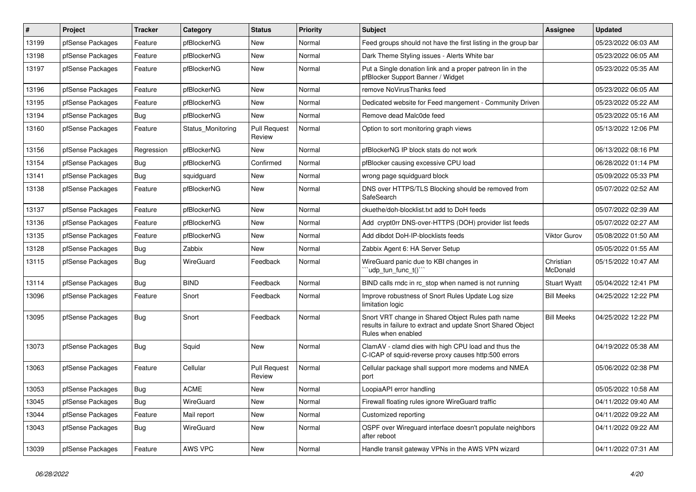| #     | Project          | <b>Tracker</b> | Category          | <b>Status</b>                 | <b>Priority</b> | Subject                                                                                                                                 | <b>Assignee</b>       | <b>Updated</b>      |
|-------|------------------|----------------|-------------------|-------------------------------|-----------------|-----------------------------------------------------------------------------------------------------------------------------------------|-----------------------|---------------------|
| 13199 | pfSense Packages | Feature        | pfBlockerNG       | New                           | Normal          | Feed groups should not have the first listing in the group bar                                                                          |                       | 05/23/2022 06:03 AM |
| 13198 | pfSense Packages | Feature        | pfBlockerNG       | New                           | Normal          | Dark Theme Styling issues - Alerts White bar                                                                                            |                       | 05/23/2022 06:05 AM |
| 13197 | pfSense Packages | Feature        | pfBlockerNG       | New                           | Normal          | Put a Single donation link and a proper patreon lin in the<br>pfBlocker Support Banner / Widget                                         |                       | 05/23/2022 05:35 AM |
| 13196 | pfSense Packages | Feature        | pfBlockerNG       | New                           | Normal          | remove NoVirusThanks feed                                                                                                               |                       | 05/23/2022 06:05 AM |
| 13195 | pfSense Packages | Feature        | pfBlockerNG       | New                           | Normal          | Dedicated website for Feed mangement - Community Driven                                                                                 |                       | 05/23/2022 05:22 AM |
| 13194 | pfSense Packages | Bug            | pfBlockerNG       | New                           | Normal          | Remove dead Malc0de feed                                                                                                                |                       | 05/23/2022 05:16 AM |
| 13160 | pfSense Packages | Feature        | Status Monitoring | <b>Pull Request</b><br>Review | Normal          | Option to sort monitoring graph views                                                                                                   |                       | 05/13/2022 12:06 PM |
| 13156 | pfSense Packages | Regression     | pfBlockerNG       | New                           | Normal          | pfBlockerNG IP block stats do not work                                                                                                  |                       | 06/13/2022 08:16 PM |
| 13154 | pfSense Packages | <b>Bug</b>     | pfBlockerNG       | Confirmed                     | Normal          | pfBlocker causing excessive CPU load                                                                                                    |                       | 06/28/2022 01:14 PM |
| 13141 | pfSense Packages | <b>Bug</b>     | squidguard        | <b>New</b>                    | Normal          | wrong page squidguard block                                                                                                             |                       | 05/09/2022 05:33 PM |
| 13138 | pfSense Packages | Feature        | pfBlockerNG       | New                           | Normal          | DNS over HTTPS/TLS Blocking should be removed from<br>SafeSearch                                                                        |                       | 05/07/2022 02:52 AM |
| 13137 | pfSense Packages | Feature        | pfBlockerNG       | New                           | Normal          | ckuethe/doh-blocklist.txt add to DoH feeds                                                                                              |                       | 05/07/2022 02:39 AM |
| 13136 | pfSense Packages | Feature        | pfBlockerNG       | <b>New</b>                    | Normal          | Add crypt0rr DNS-over-HTTPS (DOH) provider list feeds                                                                                   |                       | 05/07/2022 02:27 AM |
| 13135 | pfSense Packages | Feature        | pfBlockerNG       | New                           | Normal          | Add dibdot DoH-IP-blocklists feeds                                                                                                      | Viktor Gurov          | 05/08/2022 01:50 AM |
| 13128 | pfSense Packages | Bug            | Zabbix            | New                           | Normal          | Zabbix Agent 6: HA Server Setup                                                                                                         |                       | 05/05/2022 01:55 AM |
| 13115 | pfSense Packages | <b>Bug</b>     | WireGuard         | Feedback                      | Normal          | WireGuard panic due to KBI changes in<br>"udp_tun_func_t()"                                                                             | Christian<br>McDonald | 05/15/2022 10:47 AM |
| 13114 | pfSense Packages | <b>Bug</b>     | <b>BIND</b>       | Feedback                      | Normal          | BIND calls rndc in rc_stop when named is not running                                                                                    | <b>Stuart Wyatt</b>   | 05/04/2022 12:41 PM |
| 13096 | pfSense Packages | Feature        | Snort             | Feedback                      | Normal          | Improve robustness of Snort Rules Update Log size<br>limitation logic                                                                   | <b>Bill Meeks</b>     | 04/25/2022 12:22 PM |
| 13095 | pfSense Packages | Bug            | Snort             | Feedback                      | Normal          | Snort VRT change in Shared Object Rules path name<br>results in failure to extract and update Snort Shared Object<br>Rules when enabled | <b>Bill Meeks</b>     | 04/25/2022 12:22 PM |
| 13073 | pfSense Packages | Bug            | Squid             | <b>New</b>                    | Normal          | ClamAV - clamd dies with high CPU load and thus the<br>C-ICAP of squid-reverse proxy causes http:500 errors                             |                       | 04/19/2022 05:38 AM |
| 13063 | pfSense Packages | Feature        | Cellular          | <b>Pull Request</b><br>Review | Normal          | Cellular package shall support more modems and NMEA<br>port                                                                             |                       | 05/06/2022 02:38 PM |
| 13053 | pfSense Packages | Bug            | <b>ACME</b>       | <b>New</b>                    | Normal          | LoopiaAPI error handling                                                                                                                |                       | 05/05/2022 10:58 AM |
| 13045 | pfSense Packages | <b>Bug</b>     | WireGuard         | New                           | Normal          | Firewall floating rules ignore WireGuard traffic                                                                                        |                       | 04/11/2022 09:40 AM |
| 13044 | pfSense Packages | Feature        | Mail report       | New                           | Normal          | Customized reporting                                                                                                                    |                       | 04/11/2022 09:22 AM |
| 13043 | pfSense Packages | Bug            | WireGuard         | New                           | Normal          | OSPF over Wireguard interface doesn't populate neighbors<br>after reboot                                                                |                       | 04/11/2022 09:22 AM |
| 13039 | pfSense Packages | Feature        | AWS VPC           | New                           | Normal          | Handle transit gateway VPNs in the AWS VPN wizard                                                                                       |                       | 04/11/2022 07:31 AM |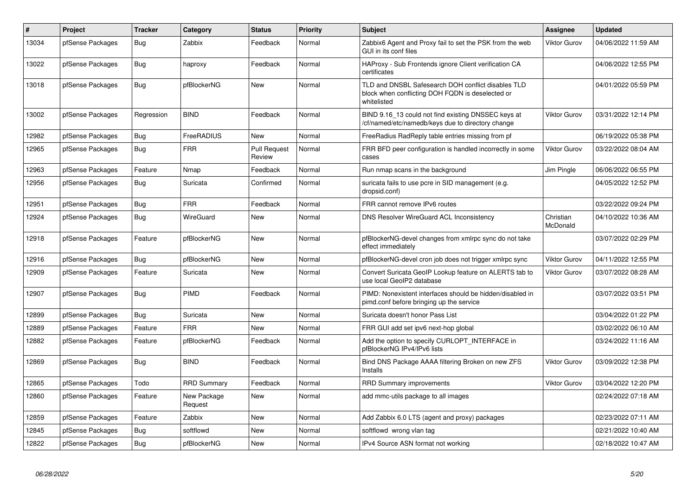| $\#$  | Project          | <b>Tracker</b> | Category               | <b>Status</b>                 | <b>Priority</b> | <b>Subject</b>                                                                                                        | Assignee              | <b>Updated</b>      |
|-------|------------------|----------------|------------------------|-------------------------------|-----------------|-----------------------------------------------------------------------------------------------------------------------|-----------------------|---------------------|
| 13034 | pfSense Packages | <b>Bug</b>     | Zabbix                 | Feedback                      | Normal          | Zabbix6 Agent and Proxy fail to set the PSK from the web<br>GUI in its conf files                                     | <b>Viktor Gurov</b>   | 04/06/2022 11:59 AM |
| 13022 | pfSense Packages | Bug            | haproxy                | Feedback                      | Normal          | HAProxy - Sub Frontends ignore Client verification CA<br>certificates                                                 |                       | 04/06/2022 12:55 PM |
| 13018 | pfSense Packages | Bug            | pfBlockerNG            | <b>New</b>                    | Normal          | TLD and DNSBL Safesearch DOH conflict disables TLD<br>block when conflicting DOH FQDN is deselected or<br>whitelisted |                       | 04/01/2022 05:59 PM |
| 13002 | pfSense Packages | Regression     | <b>BIND</b>            | Feedback                      | Normal          | BIND 9.16_13 could not find existing DNSSEC keys at<br>/cf/named/etc/namedb/keys due to directory change              | Viktor Gurov          | 03/31/2022 12:14 PM |
| 12982 | pfSense Packages | Bug            | FreeRADIUS             | New                           | Normal          | FreeRadius RadReply table entries missing from pf                                                                     |                       | 06/19/2022 05:38 PM |
| 12965 | pfSense Packages | <b>Bug</b>     | <b>FRR</b>             | <b>Pull Request</b><br>Review | Normal          | FRR BFD peer configuration is handled incorrectly in some<br>cases                                                    | Viktor Gurov          | 03/22/2022 08:04 AM |
| 12963 | pfSense Packages | Feature        | Nmap                   | Feedback                      | Normal          | Run nmap scans in the background                                                                                      | Jim Pingle            | 06/06/2022 06:55 PM |
| 12956 | pfSense Packages | Bug            | Suricata               | Confirmed                     | Normal          | suricata fails to use pcre in SID management (e.g.<br>dropsid.conf)                                                   |                       | 04/05/2022 12:52 PM |
| 12951 | pfSense Packages | Bug            | <b>FRR</b>             | Feedback                      | Normal          | FRR cannot remove IPv6 routes                                                                                         |                       | 03/22/2022 09:24 PM |
| 12924 | pfSense Packages | Bug            | WireGuard              | <b>New</b>                    | Normal          | DNS Resolver WireGuard ACL Inconsistency                                                                              | Christian<br>McDonald | 04/10/2022 10:36 AM |
| 12918 | pfSense Packages | Feature        | pfBlockerNG            | New                           | Normal          | pfBlockerNG-devel changes from xmlrpc sync do not take<br>effect immediately                                          |                       | 03/07/2022 02:29 PM |
| 12916 | pfSense Packages | Bug            | pfBlockerNG            | <b>New</b>                    | Normal          | pfBlockerNG-devel cron job does not trigger xmlrpc sync                                                               | Viktor Gurov          | 04/11/2022 12:55 PM |
| 12909 | pfSense Packages | Feature        | Suricata               | New                           | Normal          | Convert Suricata GeoIP Lookup feature on ALERTS tab to<br>use local GeoIP2 database                                   | Viktor Gurov          | 03/07/2022 08:28 AM |
| 12907 | pfSense Packages | Bug            | PIMD                   | Feedback                      | Normal          | PIMD: Nonexistent interfaces should be hidden/disabled in<br>pimd.conf before bringing up the service                 |                       | 03/07/2022 03:51 PM |
| 12899 | pfSense Packages | <b>Bug</b>     | Suricata               | <b>New</b>                    | Normal          | Suricata doesn't honor Pass List                                                                                      |                       | 03/04/2022 01:22 PM |
| 12889 | pfSense Packages | Feature        | <b>FRR</b>             | New                           | Normal          | FRR GUI add set ipv6 next-hop global                                                                                  |                       | 03/02/2022 06:10 AM |
| 12882 | pfSense Packages | Feature        | pfBlockerNG            | Feedback                      | Normal          | Add the option to specify CURLOPT_INTERFACE in<br>pfBlockerNG IPv4/IPv6 lists                                         |                       | 03/24/2022 11:16 AM |
| 12869 | pfSense Packages | Bug            | <b>BIND</b>            | Feedback                      | Normal          | Bind DNS Package AAAA filtering Broken on new ZFS<br>Installs                                                         | Viktor Gurov          | 03/09/2022 12:38 PM |
| 12865 | pfSense Packages | Todo           | <b>RRD Summary</b>     | Feedback                      | Normal          | <b>RRD Summary improvements</b>                                                                                       | Viktor Gurov          | 03/04/2022 12:20 PM |
| 12860 | pfSense Packages | Feature        | New Package<br>Request | New                           | Normal          | add mmc-utils package to all images                                                                                   |                       | 02/24/2022 07:18 AM |
| 12859 | pfSense Packages | Feature        | Zabbix                 | New                           | Normal          | Add Zabbix 6.0 LTS (agent and proxy) packages                                                                         |                       | 02/23/2022 07:11 AM |
| 12845 | pfSense Packages | <b>Bug</b>     | softflowd              | New                           | Normal          | softflowd wrong vlan tag                                                                                              |                       | 02/21/2022 10:40 AM |
| 12822 | pfSense Packages | Bug            | pfBlockerNG            | New                           | Normal          | IPv4 Source ASN format not working                                                                                    |                       | 02/18/2022 10:47 AM |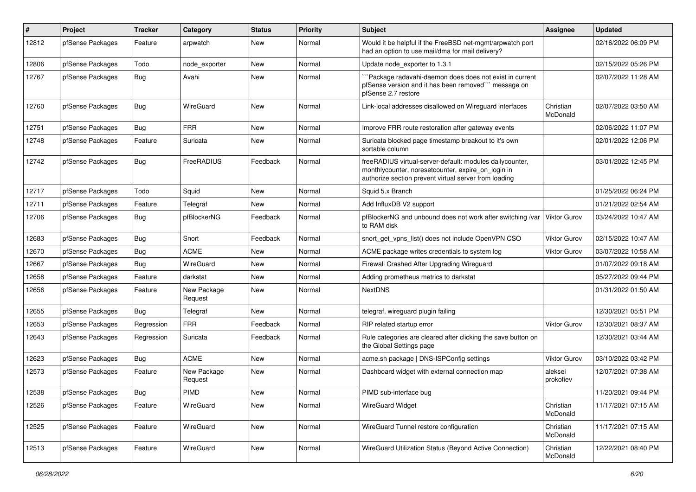| #     | Project          | Tracker    | Category               | <b>Status</b> | <b>Priority</b> | <b>Subject</b>                                                                                                                                                          | <b>Assignee</b>       | <b>Updated</b>      |
|-------|------------------|------------|------------------------|---------------|-----------------|-------------------------------------------------------------------------------------------------------------------------------------------------------------------------|-----------------------|---------------------|
| 12812 | pfSense Packages | Feature    | arpwatch               | New           | Normal          | Would it be helpful if the FreeBSD net-mgmt/arpwatch port<br>had an option to use mail/dma for mail delivery?                                                           |                       | 02/16/2022 06:09 PM |
| 12806 | pfSense Packages | Todo       | node exporter          | New           | Normal          | Update node exporter to 1.3.1                                                                                                                                           |                       | 02/15/2022 05:26 PM |
| 12767 | pfSense Packages | <b>Bug</b> | Avahi                  | New           | Normal          | Package radavahi-daemon does does not exist in current<br>pfSense version and it has been removed" message on<br>pfSense 2.7 restore                                    |                       | 02/07/2022 11:28 AM |
| 12760 | pfSense Packages | Bug        | WireGuard              | New           | Normal          | Link-local addresses disallowed on Wireguard interfaces                                                                                                                 | Christian<br>McDonald | 02/07/2022 03:50 AM |
| 12751 | pfSense Packages | Bug        | <b>FRR</b>             | New           | Normal          | Improve FRR route restoration after gateway events                                                                                                                      |                       | 02/06/2022 11:07 PM |
| 12748 | pfSense Packages | Feature    | Suricata               | New           | Normal          | Suricata blocked page timestamp breakout to it's own<br>sortable column                                                                                                 |                       | 02/01/2022 12:06 PM |
| 12742 | pfSense Packages | <b>Bug</b> | FreeRADIUS             | Feedback      | Normal          | freeRADIUS virtual-server-default: modules dailycounter,<br>monthlycounter, noresetcounter, expire_on_login in<br>authorize section prevent virtual server from loading |                       | 03/01/2022 12:45 PM |
| 12717 | pfSense Packages | Todo       | Squid                  | <b>New</b>    | Normal          | Squid 5.x Branch                                                                                                                                                        |                       | 01/25/2022 06:24 PM |
| 12711 | pfSense Packages | Feature    | Telegraf               | New           | Normal          | Add InfluxDB V2 support                                                                                                                                                 |                       | 01/21/2022 02:54 AM |
| 12706 | pfSense Packages | Bug        | pfBlockerNG            | Feedback      | Normal          | pfBlockerNG and unbound does not work after switching /var<br>to RAM disk                                                                                               | <b>Viktor Gurov</b>   | 03/24/2022 10:47 AM |
| 12683 | pfSense Packages | Bug        | Snort                  | Feedback      | Normal          | snort get vpns list() does not include OpenVPN CSO                                                                                                                      | Viktor Gurov          | 02/15/2022 10:47 AM |
| 12670 | pfSense Packages | <b>Bug</b> | <b>ACME</b>            | New           | Normal          | ACME package writes credentials to system log                                                                                                                           | Viktor Gurov          | 03/07/2022 10:58 AM |
| 12667 | pfSense Packages | Bug        | WireGuard              | <b>New</b>    | Normal          | Firewall Crashed After Upgrading Wireguard                                                                                                                              |                       | 01/07/2022 09:18 AM |
| 12658 | pfSense Packages | Feature    | darkstat               | New           | Normal          | Adding prometheus metrics to darkstat                                                                                                                                   |                       | 05/27/2022 09:44 PM |
| 12656 | pfSense Packages | Feature    | New Package<br>Request | New           | Normal          | <b>NextDNS</b>                                                                                                                                                          |                       | 01/31/2022 01:50 AM |
| 12655 | pfSense Packages | Bug        | Telegraf               | <b>New</b>    | Normal          | telegraf, wireguard plugin failing                                                                                                                                      |                       | 12/30/2021 05:51 PM |
| 12653 | pfSense Packages | Regression | <b>FRR</b>             | Feedback      | Normal          | RIP related startup error                                                                                                                                               | Viktor Gurov          | 12/30/2021 08:37 AM |
| 12643 | pfSense Packages | Regression | Suricata               | Feedback      | Normal          | Rule categories are cleared after clicking the save button on<br>the Global Settings page                                                                               |                       | 12/30/2021 03:44 AM |
| 12623 | pfSense Packages | Bug        | <b>ACME</b>            | <b>New</b>    | Normal          | acme.sh package   DNS-ISPConfig settings                                                                                                                                | Viktor Gurov          | 03/10/2022 03:42 PM |
| 12573 | pfSense Packages | Feature    | New Package<br>Request | New           | Normal          | Dashboard widget with external connection map                                                                                                                           | aleksei<br>prokofiev  | 12/07/2021 07:38 AM |
| 12538 | pfSense Packages | <b>Bug</b> | PIMD                   | New           | Normal          | PIMD sub-interface bug                                                                                                                                                  |                       | 11/20/2021 09:44 PM |
| 12526 | pfSense Packages | Feature    | WireGuard              | New           | Normal          | WireGuard Widget                                                                                                                                                        | Christian<br>McDonald | 11/17/2021 07:15 AM |
| 12525 | pfSense Packages | Feature    | WireGuard              | New           | Normal          | WireGuard Tunnel restore configuration                                                                                                                                  | Christian<br>McDonald | 11/17/2021 07:15 AM |
| 12513 | pfSense Packages | Feature    | WireGuard              | New           | Normal          | WireGuard Utilization Status (Beyond Active Connection)                                                                                                                 | Christian<br>McDonald | 12/22/2021 08:40 PM |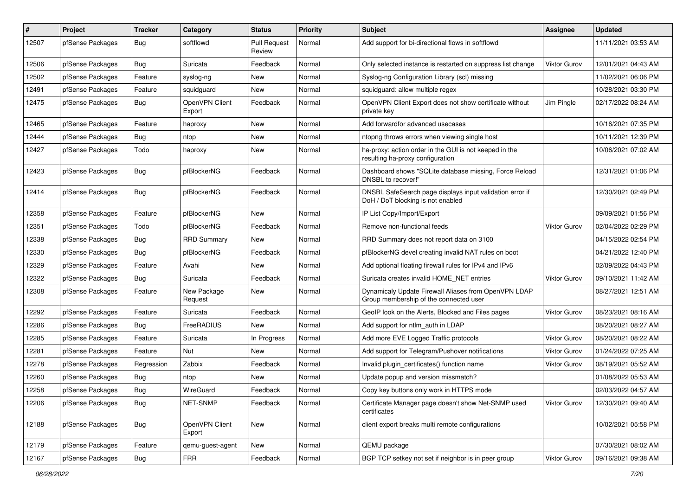| #     | Project          | <b>Tracker</b> | Category                 | <b>Status</b>                 | <b>Priority</b> | <b>Subject</b>                                                                                 | Assignee            | <b>Updated</b>      |
|-------|------------------|----------------|--------------------------|-------------------------------|-----------------|------------------------------------------------------------------------------------------------|---------------------|---------------------|
| 12507 | pfSense Packages | <b>Bug</b>     | softflowd                | <b>Pull Request</b><br>Review | Normal          | Add support for bi-directional flows in softflowd                                              |                     | 11/11/2021 03:53 AM |
| 12506 | pfSense Packages | <b>Bug</b>     | Suricata                 | Feedback                      | Normal          | Only selected instance is restarted on suppress list change                                    | Viktor Gurov        | 12/01/2021 04:43 AM |
| 12502 | pfSense Packages | Feature        | syslog-ng                | <b>New</b>                    | Normal          | Syslog-ng Configuration Library (scl) missing                                                  |                     | 11/02/2021 06:06 PM |
| 12491 | pfSense Packages | Feature        | squidguard               | New                           | Normal          | squidguard: allow multiple regex                                                               |                     | 10/28/2021 03:30 PM |
| 12475 | pfSense Packages | Bug            | OpenVPN Client<br>Export | Feedback                      | Normal          | OpenVPN Client Export does not show certificate without<br>private key                         | Jim Pingle          | 02/17/2022 08:24 AM |
| 12465 | pfSense Packages | Feature        | haproxy                  | <b>New</b>                    | Normal          | Add forwardfor advanced usecases                                                               |                     | 10/16/2021 07:35 PM |
| 12444 | pfSense Packages | <b>Bug</b>     | ntop                     | New                           | Normal          | ntopng throws errors when viewing single host                                                  |                     | 10/11/2021 12:39 PM |
| 12427 | pfSense Packages | Todo           | haproxy                  | New                           | Normal          | ha-proxy: action order in the GUI is not keeped in the<br>resulting ha-proxy configuration     |                     | 10/06/2021 07:02 AM |
| 12423 | pfSense Packages | <b>Bug</b>     | pfBlockerNG              | Feedback                      | Normal          | Dashboard shows "SQLite database missing, Force Reload<br>DNSBL to recover!"                   |                     | 12/31/2021 01:06 PM |
| 12414 | pfSense Packages | Bug            | pfBlockerNG              | Feedback                      | Normal          | DNSBL SafeSearch page displays input validation error if<br>DoH / DoT blocking is not enabled  |                     | 12/30/2021 02:49 PM |
| 12358 | pfSense Packages | Feature        | pfBlockerNG              | New                           | Normal          | IP List Copy/Import/Export                                                                     |                     | 09/09/2021 01:56 PM |
| 12351 | pfSense Packages | Todo           | pfBlockerNG              | Feedback                      | Normal          | Remove non-functional feeds                                                                    | Viktor Gurov        | 02/04/2022 02:29 PM |
| 12338 | pfSense Packages | Bug            | <b>RRD Summary</b>       | New                           | Normal          | RRD Summary does not report data on 3100                                                       |                     | 04/15/2022 02:54 PM |
| 12330 | pfSense Packages | <b>Bug</b>     | pfBlockerNG              | Feedback                      | Normal          | pfBlockerNG devel creating invalid NAT rules on boot                                           |                     | 04/21/2022 12:40 PM |
| 12329 | pfSense Packages | Feature        | Avahi                    | <b>New</b>                    | Normal          | Add optional floating firewall rules for IPv4 and IPv6                                         |                     | 02/09/2022 04:43 PM |
| 12322 | pfSense Packages | Bug            | Suricata                 | Feedback                      | Normal          | Suricata creates invalid HOME_NET entries                                                      | Viktor Gurov        | 09/10/2021 11:42 AM |
| 12308 | pfSense Packages | Feature        | New Package<br>Request   | <b>New</b>                    | Normal          | Dynamicaly Update Firewall Aliases from OpenVPN LDAP<br>Group membership of the connected user |                     | 08/27/2021 12:51 AM |
| 12292 | pfSense Packages | Feature        | Suricata                 | Feedback                      | Normal          | GeoIP look on the Alerts, Blocked and Files pages                                              | <b>Viktor Gurov</b> | 08/23/2021 08:16 AM |
| 12286 | pfSense Packages | Bug            | FreeRADIUS               | New                           | Normal          | Add support for ntlm auth in LDAP                                                              |                     | 08/20/2021 08:27 AM |
| 12285 | pfSense Packages | Feature        | Suricata                 | In Progress                   | Normal          | Add more EVE Logged Traffic protocols                                                          | Viktor Gurov        | 08/20/2021 08:22 AM |
| 12281 | pfSense Packages | Feature        | Nut                      | New                           | Normal          | Add support for Telegram/Pushover notifications                                                | Viktor Gurov        | 01/24/2022 07:25 AM |
| 12278 | pfSense Packages | Regression     | Zabbix                   | Feedback                      | Normal          | Invalid plugin_certificates() function name                                                    | Viktor Gurov        | 08/19/2021 05:52 AM |
| 12260 | pfSense Packages | Bug            | ntop                     | New                           | Normal          | Update popup and version missmatch?                                                            |                     | 01/08/2022 05:53 AM |
| 12258 | pfSense Packages | Bug            | WireGuard                | Feedback                      | Normal          | Copy key buttons only work in HTTPS mode                                                       |                     | 02/03/2022 04:57 AM |
| 12206 | pfSense Packages | <b>Bug</b>     | NET-SNMP                 | Feedback                      | Normal          | Certificate Manager page doesn't show Net-SNMP used<br>certificates                            | Viktor Gurov        | 12/30/2021 09:40 AM |
| 12188 | pfSense Packages | Bug            | OpenVPN Client<br>Export | New                           | Normal          | client export breaks multi remote configurations                                               |                     | 10/02/2021 05:58 PM |
| 12179 | pfSense Packages | Feature        | qemu-guest-agent         | New                           | Normal          | QEMU package                                                                                   |                     | 07/30/2021 08:02 AM |
| 12167 | pfSense Packages | <b>Bug</b>     | <b>FRR</b>               | Feedback                      | Normal          | BGP TCP setkey not set if neighbor is in peer group                                            | Viktor Gurov        | 09/16/2021 09:38 AM |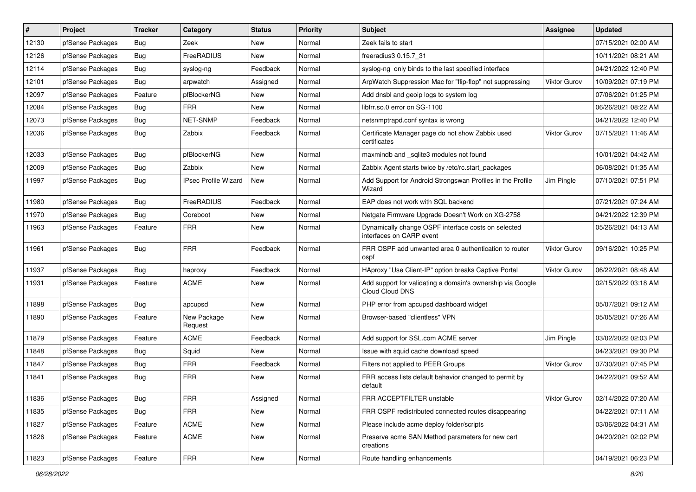| #     | Project          | <b>Tracker</b> | Category               | <b>Status</b> | <b>Priority</b> | Subject                                                                         | <b>Assignee</b>     | <b>Updated</b>      |
|-------|------------------|----------------|------------------------|---------------|-----------------|---------------------------------------------------------------------------------|---------------------|---------------------|
| 12130 | pfSense Packages | <b>Bug</b>     | Zeek                   | <b>New</b>    | Normal          | Zeek fails to start                                                             |                     | 07/15/2021 02:00 AM |
| 12126 | pfSense Packages | Bug            | FreeRADIUS             | <b>New</b>    | Normal          | freeradius3 0.15.7 31                                                           |                     | 10/11/2021 08:21 AM |
| 12114 | pfSense Packages | Bug            | syslog-ng              | Feedback      | Normal          | syslog-ng only binds to the last specified interface                            |                     | 04/21/2022 12:40 PM |
| 12101 | pfSense Packages | <b>Bug</b>     | arpwatch               | Assigned      | Normal          | ArpWatch Suppression Mac for "flip-flop" not suppressing                        | Viktor Gurov        | 10/09/2021 07:19 PM |
| 12097 | pfSense Packages | Feature        | pfBlockerNG            | <b>New</b>    | Normal          | Add dnsbl and geoip logs to system log                                          |                     | 07/06/2021 01:25 PM |
| 12084 | pfSense Packages | <b>Bug</b>     | <b>FRR</b>             | New           | Normal          | libfrr.so.0 error on SG-1100                                                    |                     | 06/26/2021 08:22 AM |
| 12073 | pfSense Packages | <b>Bug</b>     | NET-SNMP               | Feedback      | Normal          | netsnmptrapd.conf syntax is wrong                                               |                     | 04/21/2022 12:40 PM |
| 12036 | pfSense Packages | Bug            | Zabbix                 | Feedback      | Normal          | Certificate Manager page do not show Zabbix used<br>certificates                | Viktor Gurov        | 07/15/2021 11:46 AM |
| 12033 | pfSense Packages | <b>Bug</b>     | pfBlockerNG            | <b>New</b>    | Normal          | maxmindb and _sqlite3 modules not found                                         |                     | 10/01/2021 04:42 AM |
| 12009 | pfSense Packages | Bug            | Zabbix                 | New           | Normal          | Zabbix Agent starts twice by /etc/rc.start packages                             |                     | 06/08/2021 01:35 AM |
| 11997 | pfSense Packages | <b>Bug</b>     | IPsec Profile Wizard   | New           | Normal          | Add Support for Android Strongswan Profiles in the Profile<br>Wizard            | Jim Pingle          | 07/10/2021 07:51 PM |
| 11980 | pfSense Packages | Bug            | FreeRADIUS             | Feedback      | Normal          | EAP does not work with SQL backend                                              |                     | 07/21/2021 07:24 AM |
| 11970 | pfSense Packages | <b>Bug</b>     | Coreboot               | New           | Normal          | Netgate Firmware Upgrade Doesn't Work on XG-2758                                |                     | 04/21/2022 12:39 PM |
| 11963 | pfSense Packages | Feature        | <b>FRR</b>             | New           | Normal          | Dynamically change OSPF interface costs on selected<br>interfaces on CARP event |                     | 05/26/2021 04:13 AM |
| 11961 | pfSense Packages | <b>Bug</b>     | <b>FRR</b>             | Feedback      | Normal          | FRR OSPF add unwanted area 0 authentication to router<br>ospf                   | Viktor Gurov        | 09/16/2021 10:25 PM |
| 11937 | pfSense Packages | Bug            | haproxy                | Feedback      | Normal          | HAproxy "Use Client-IP" option breaks Captive Portal                            | <b>Viktor Gurov</b> | 06/22/2021 08:48 AM |
| 11931 | pfSense Packages | Feature        | <b>ACME</b>            | <b>New</b>    | Normal          | Add support for validating a domain's ownership via Google<br>Cloud Cloud DNS   |                     | 02/15/2022 03:18 AM |
| 11898 | pfSense Packages | Bug            | apcupsd                | <b>New</b>    | Normal          | PHP error from apcupsd dashboard widget                                         |                     | 05/07/2021 09:12 AM |
| 11890 | pfSense Packages | Feature        | New Package<br>Request | New           | Normal          | Browser-based "clientless" VPN                                                  |                     | 05/05/2021 07:26 AM |
| 11879 | pfSense Packages | Feature        | <b>ACME</b>            | Feedback      | Normal          | Add support for SSL.com ACME server                                             | Jim Pingle          | 03/02/2022 02:03 PM |
| 11848 | pfSense Packages | <b>Bug</b>     | Squid                  | <b>New</b>    | Normal          | Issue with squid cache download speed                                           |                     | 04/23/2021 09:30 PM |
| 11847 | pfSense Packages | Bug            | <b>FRR</b>             | Feedback      | Normal          | Filters not applied to PEER Groups                                              | <b>Viktor Gurov</b> | 07/30/2021 07:45 PM |
| 11841 | pfSense Packages | Bug            | <b>FRR</b>             | <b>New</b>    | Normal          | FRR access lists default bahavior changed to permit by<br>default               |                     | 04/22/2021 09:52 AM |
| 11836 | pfSense Packages | <b>Bug</b>     | <b>FRR</b>             | Assigned      | Normal          | FRR ACCEPTFILTER unstable                                                       | Viktor Gurov        | 02/14/2022 07:20 AM |
| 11835 | pfSense Packages | Bug            | <b>FRR</b>             | New           | Normal          | FRR OSPF redistributed connected routes disappearing                            |                     | 04/22/2021 07:11 AM |
| 11827 | pfSense Packages | Feature        | <b>ACME</b>            | New           | Normal          | Please include acme deploy folder/scripts                                       |                     | 03/06/2022 04:31 AM |
| 11826 | pfSense Packages | Feature        | <b>ACME</b>            | New           | Normal          | Preserve acme SAN Method parameters for new cert<br>creations                   |                     | 04/20/2021 02:02 PM |
| 11823 | pfSense Packages | Feature        | <b>FRR</b>             | New           | Normal          | Route handling enhancements                                                     |                     | 04/19/2021 06:23 PM |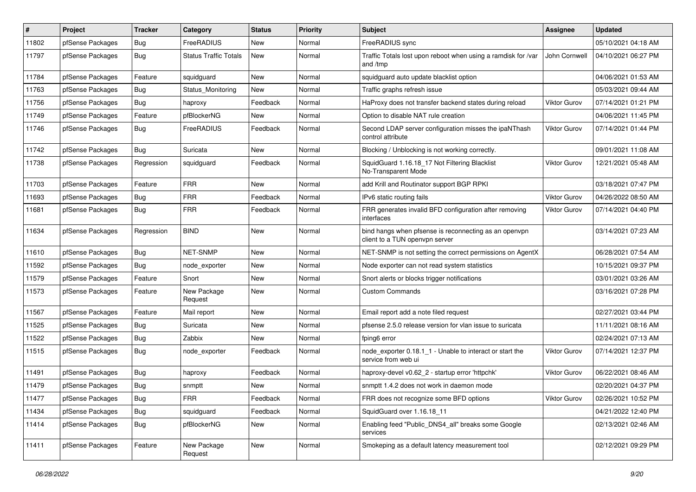| $\sharp$ | Project          | <b>Tracker</b> | Category                     | <b>Status</b> | <b>Priority</b> | <b>Subject</b>                                                                          | <b>Assignee</b>     | <b>Updated</b>      |
|----------|------------------|----------------|------------------------------|---------------|-----------------|-----------------------------------------------------------------------------------------|---------------------|---------------------|
| 11802    | pfSense Packages | Bug            | FreeRADIUS                   | New           | Normal          | FreeRADIUS sync                                                                         |                     | 05/10/2021 04:18 AM |
| 11797    | pfSense Packages | <b>Bug</b>     | <b>Status Traffic Totals</b> | <b>New</b>    | Normal          | Traffic Totals lost upon reboot when using a ramdisk for /var<br>and /tmp               | John Cornwell       | 04/10/2021 06:27 PM |
| 11784    | pfSense Packages | Feature        | squidguard                   | <b>New</b>    | Normal          | squidguard auto update blacklist option                                                 |                     | 04/06/2021 01:53 AM |
| 11763    | pfSense Packages | <b>Bug</b>     | Status Monitoring            | <b>New</b>    | Normal          | Traffic graphs refresh issue                                                            |                     | 05/03/2021 09:44 AM |
| 11756    | pfSense Packages | <b>Bug</b>     | haproxy                      | Feedback      | Normal          | HaProxy does not transfer backend states during reload                                  | <b>Viktor Gurov</b> | 07/14/2021 01:21 PM |
| 11749    | pfSense Packages | Feature        | pfBlockerNG                  | New           | Normal          | Option to disable NAT rule creation                                                     |                     | 04/06/2021 11:45 PM |
| 11746    | pfSense Packages | Bug            | FreeRADIUS                   | Feedback      | Normal          | Second LDAP server configuration misses the ipaNThash<br>control attribute              | Viktor Gurov        | 07/14/2021 01:44 PM |
| 11742    | pfSense Packages | Bug            | Suricata                     | <b>New</b>    | Normal          | Blocking / Unblocking is not working correctly.                                         |                     | 09/01/2021 11:08 AM |
| 11738    | pfSense Packages | Regression     | squidguard                   | Feedback      | Normal          | SquidGuard 1.16.18 17 Not Filtering Blacklist<br>No-Transparent Mode                    | <b>Viktor Gurov</b> | 12/21/2021 05:48 AM |
| 11703    | pfSense Packages | Feature        | <b>FRR</b>                   | <b>New</b>    | Normal          | add Krill and Routinator support BGP RPKI                                               |                     | 03/18/2021 07:47 PM |
| 11693    | pfSense Packages | <b>Bug</b>     | <b>FRR</b>                   | Feedback      | Normal          | IPv6 static routing fails                                                               | <b>Viktor Gurov</b> | 04/26/2022 08:50 AM |
| 11681    | pfSense Packages | Bug            | <b>FRR</b>                   | Feedback      | Normal          | FRR generates invalid BFD configuration after removing<br>interfaces                    | <b>Viktor Gurov</b> | 07/14/2021 04:40 PM |
| 11634    | pfSense Packages | Regression     | <b>BIND</b>                  | <b>New</b>    | Normal          | bind hangs when pfsense is reconnecting as an openvpn<br>client to a TUN openvpn server |                     | 03/14/2021 07:23 AM |
| 11610    | pfSense Packages | <b>Bug</b>     | NET-SNMP                     | <b>New</b>    | Normal          | NET-SNMP is not setting the correct permissions on AgentX                               |                     | 06/28/2021 07:54 AM |
| 11592    | pfSense Packages | Bug            | node_exporter                | <b>New</b>    | Normal          | Node exporter can not read system statistics                                            |                     | 10/15/2021 09:37 PM |
| 11579    | pfSense Packages | Feature        | Snort                        | <b>New</b>    | Normal          | Snort alerts or blocks trigger notifications                                            |                     | 03/01/2021 03:26 AM |
| 11573    | pfSense Packages | Feature        | New Package<br>Request       | <b>New</b>    | Normal          | <b>Custom Commands</b>                                                                  |                     | 03/16/2021 07:28 PM |
| 11567    | pfSense Packages | Feature        | Mail report                  | <b>New</b>    | Normal          | Email report add a note filed request                                                   |                     | 02/27/2021 03:44 PM |
| 11525    | pfSense Packages | Bug            | Suricata                     | New           | Normal          | pfsense 2.5.0 release version for vlan issue to suricata                                |                     | 11/11/2021 08:16 AM |
| 11522    | pfSense Packages | Bug            | Zabbix                       | <b>New</b>    | Normal          | fping6 error                                                                            |                     | 02/24/2021 07:13 AM |
| 11515    | pfSense Packages | Bug            | node exporter                | Feedback      | Normal          | node exporter 0.18.1 1 - Unable to interact or start the<br>service from web ui         | <b>Viktor Gurov</b> | 07/14/2021 12:37 PM |
| 11491    | pfSense Packages | Bug            | haproxy                      | Feedback      | Normal          | haproxy-devel v0.62 2 - startup error 'httpchk'                                         | <b>Viktor Gurov</b> | 06/22/2021 08:46 AM |
| 11479    | pfSense Packages | <b>Bug</b>     | snmptt                       | <b>New</b>    | Normal          | snmptt 1.4.2 does not work in daemon mode                                               |                     | 02/20/2021 04:37 PM |
| 11477    | pfSense Packages | Bug            | <b>FRR</b>                   | Feedback      | Normal          | FRR does not recognize some BFD options                                                 | Viktor Gurov        | 02/26/2021 10:52 PM |
| 11434    | pfSense Packages | Bug            | squidguard                   | Feedback      | Normal          | SquidGuard over 1.16.18_11                                                              |                     | 04/21/2022 12:40 PM |
| 11414    | pfSense Packages | <b>Bug</b>     | pfBlockerNG                  | New           | Normal          | Enabling feed "Public_DNS4_all" breaks some Google<br>services                          |                     | 02/13/2021 02:46 AM |
| 11411    | pfSense Packages | Feature        | New Package<br>Request       | New           | Normal          | Smokeping as a default latency measurement tool                                         |                     | 02/12/2021 09:29 PM |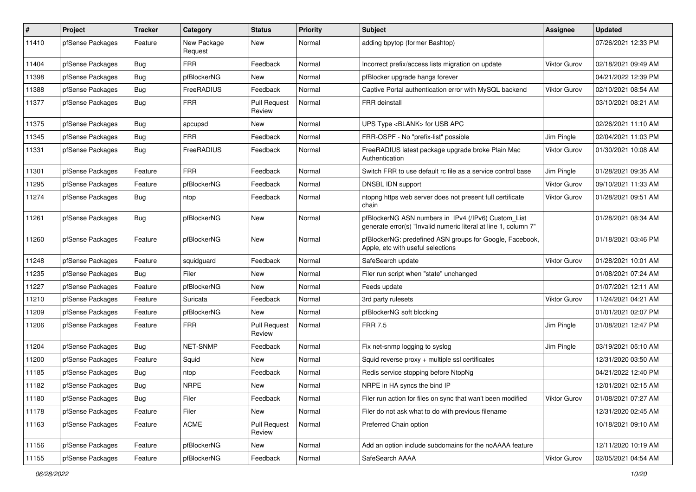| $\pmb{\#}$ | Project          | <b>Tracker</b> | Category               | <b>Status</b>                 | <b>Priority</b> | <b>Subject</b>                                                                                                         | Assignee            | <b>Updated</b>      |
|------------|------------------|----------------|------------------------|-------------------------------|-----------------|------------------------------------------------------------------------------------------------------------------------|---------------------|---------------------|
| 11410      | pfSense Packages | Feature        | New Package<br>Request | <b>New</b>                    | Normal          | adding bpytop (former Bashtop)                                                                                         |                     | 07/26/2021 12:33 PM |
| 11404      | pfSense Packages | <b>Bug</b>     | <b>FRR</b>             | Feedback                      | Normal          | Incorrect prefix/access lists migration on update                                                                      | <b>Viktor Gurov</b> | 02/18/2021 09:49 AM |
| 11398      | pfSense Packages | Bug            | pfBlockerNG            | New                           | Normal          | pfBlocker upgrade hangs forever                                                                                        |                     | 04/21/2022 12:39 PM |
| 11388      | pfSense Packages | Bug            | FreeRADIUS             | Feedback                      | Normal          | Captive Portal authentication error with MySQL backend                                                                 | <b>Viktor Gurov</b> | 02/10/2021 08:54 AM |
| 11377      | pfSense Packages | <b>Bug</b>     | <b>FRR</b>             | <b>Pull Request</b><br>Review | Normal          | <b>FRR</b> deinstall                                                                                                   |                     | 03/10/2021 08:21 AM |
| 11375      | pfSense Packages | <b>Bug</b>     | apcupsd                | New                           | Normal          | UPS Type <blank> for USB APC</blank>                                                                                   |                     | 02/26/2021 11:10 AM |
| 11345      | pfSense Packages | <b>Bug</b>     | <b>FRR</b>             | Feedback                      | Normal          | FRR-OSPF - No "prefix-list" possible                                                                                   | Jim Pingle          | 02/04/2021 11:03 PM |
| 11331      | pfSense Packages | <b>Bug</b>     | FreeRADIUS             | Feedback                      | Normal          | FreeRADIUS latest package upgrade broke Plain Mac<br>Authentication                                                    | Viktor Gurov        | 01/30/2021 10:08 AM |
| 11301      | pfSense Packages | Feature        | <b>FRR</b>             | Feedback                      | Normal          | Switch FRR to use default rc file as a service control base                                                            | Jim Pingle          | 01/28/2021 09:35 AM |
| 11295      | pfSense Packages | Feature        | pfBlockerNG            | Feedback                      | Normal          | DNSBL IDN support                                                                                                      | Viktor Gurov        | 09/10/2021 11:33 AM |
| 11274      | pfSense Packages | Bug            | ntop                   | Feedback                      | Normal          | ntopng https web server does not present full certificate<br>chain                                                     | Viktor Gurov        | 01/28/2021 09:51 AM |
| 11261      | pfSense Packages | <b>Bug</b>     | pfBlockerNG            | New                           | Normal          | pfBlockerNG ASN numbers in IPv4 (/IPv6) Custom List<br>generate error(s) "Invalid numeric literal at line 1, column 7" |                     | 01/28/2021 08:34 AM |
| 11260      | pfSense Packages | Feature        | pfBlockerNG            | <b>New</b>                    | Normal          | pfBlockerNG: predefined ASN groups for Google, Facebook,<br>Apple, etc with useful selections                          |                     | 01/18/2021 03:46 PM |
| 11248      | pfSense Packages | Feature        | squidguard             | Feedback                      | Normal          | SafeSearch update                                                                                                      | <b>Viktor Gurov</b> | 01/28/2021 10:01 AM |
| 11235      | pfSense Packages | Bug            | Filer                  | <b>New</b>                    | Normal          | Filer run script when "state" unchanged                                                                                |                     | 01/08/2021 07:24 AM |
| 11227      | pfSense Packages | Feature        | pfBlockerNG            | <b>New</b>                    | Normal          | Feeds update                                                                                                           |                     | 01/07/2021 12:11 AM |
| 11210      | pfSense Packages | Feature        | Suricata               | Feedback                      | Normal          | 3rd party rulesets                                                                                                     | <b>Viktor Gurov</b> | 11/24/2021 04:21 AM |
| 11209      | pfSense Packages | Feature        | pfBlockerNG            | New                           | Normal          | pfBlockerNG soft blocking                                                                                              |                     | 01/01/2021 02:07 PM |
| 11206      | pfSense Packages | Feature        | <b>FRR</b>             | <b>Pull Request</b><br>Review | Normal          | <b>FRR 7.5</b>                                                                                                         | Jim Pingle          | 01/08/2021 12:47 PM |
| 11204      | pfSense Packages | <b>Bug</b>     | NET-SNMP               | Feedback                      | Normal          | Fix net-snmp logging to syslog                                                                                         | Jim Pingle          | 03/19/2021 05:10 AM |
| 11200      | pfSense Packages | Feature        | Squid                  | <b>New</b>                    | Normal          | Squid reverse $proxy + \text{multiple} ssl$ certificates                                                               |                     | 12/31/2020 03:50 AM |
| 11185      | pfSense Packages | Bug            | ntop                   | Feedback                      | Normal          | Redis service stopping before NtopNg                                                                                   |                     | 04/21/2022 12:40 PM |
| 11182      | pfSense Packages | Bug            | <b>NRPE</b>            | <b>New</b>                    | Normal          | NRPE in HA syncs the bind IP                                                                                           |                     | 12/01/2021 02:15 AM |
| 11180      | pfSense Packages | Bug            | Filer                  | Feedback                      | Normal          | Filer run action for files on sync that wan't been modified                                                            | Viktor Gurov        | 01/08/2021 07:27 AM |
| 11178      | pfSense Packages | Feature        | Filer                  | New                           | Normal          | Filer do not ask what to do with previous filename                                                                     |                     | 12/31/2020 02:45 AM |
| 11163      | pfSense Packages | Feature        | ACME                   | <b>Pull Request</b><br>Review | Normal          | Preferred Chain option                                                                                                 |                     | 10/18/2021 09:10 AM |
| 11156      | pfSense Packages | Feature        | pfBlockerNG            | New                           | Normal          | Add an option include subdomains for the noAAAA feature                                                                |                     | 12/11/2020 10:19 AM |
| 11155      | pfSense Packages | Feature        | pfBlockerNG            | Feedback                      | Normal          | SafeSearch AAAA                                                                                                        | Viktor Gurov        | 02/05/2021 04:54 AM |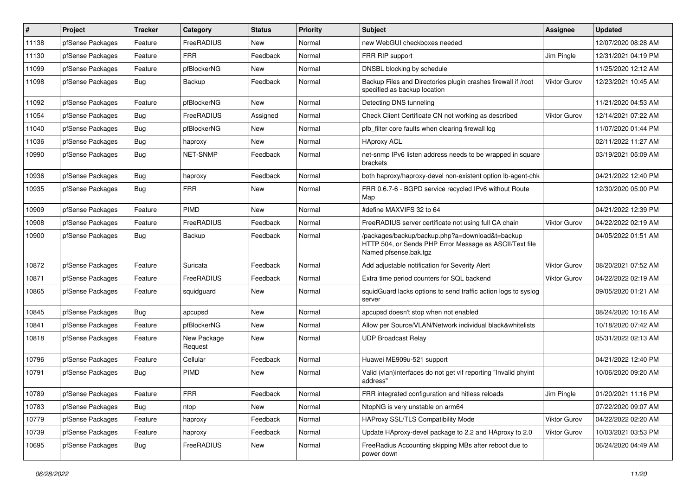| ∦     | Project          | <b>Tracker</b> | Category               | <b>Status</b> | <b>Priority</b> | <b>Subject</b>                                                                                                                      | <b>Assignee</b>     | <b>Updated</b>      |
|-------|------------------|----------------|------------------------|---------------|-----------------|-------------------------------------------------------------------------------------------------------------------------------------|---------------------|---------------------|
| 11138 | pfSense Packages | Feature        | FreeRADIUS             | New           | Normal          | new WebGUI checkboxes needed                                                                                                        |                     | 12/07/2020 08:28 AM |
| 11130 | pfSense Packages | Feature        | <b>FRR</b>             | Feedback      | Normal          | FRR RIP support                                                                                                                     | Jim Pingle          | 12/31/2021 04:19 PM |
| 11099 | pfSense Packages | Feature        | pfBlockerNG            | New           | Normal          | DNSBL blocking by schedule                                                                                                          |                     | 11/25/2020 12:12 AM |
| 11098 | pfSense Packages | Bug            | Backup                 | Feedback      | Normal          | Backup Files and Directories plugin crashes firewall if /root<br>specified as backup location                                       | Viktor Gurov        | 12/23/2021 10:45 AM |
| 11092 | pfSense Packages | Feature        | pfBlockerNG            | New           | Normal          | Detecting DNS tunneling                                                                                                             |                     | 11/21/2020 04:53 AM |
| 11054 | pfSense Packages | Bug            | FreeRADIUS             | Assigned      | Normal          | Check Client Certificate CN not working as described                                                                                | <b>Viktor Gurov</b> | 12/14/2021 07:22 AM |
| 11040 | pfSense Packages | Bug            | pfBlockerNG            | <b>New</b>    | Normal          | pfb filter core faults when clearing firewall log                                                                                   |                     | 11/07/2020 01:44 PM |
| 11036 | pfSense Packages | <b>Bug</b>     | haproxy                | New           | Normal          | <b>HAproxy ACL</b>                                                                                                                  |                     | 02/11/2022 11:27 AM |
| 10990 | pfSense Packages | Bug            | <b>NET-SNMP</b>        | Feedback      | Normal          | net-snmp IPv6 listen address needs to be wrapped in square<br>brackets                                                              |                     | 03/19/2021 05:09 AM |
| 10936 | pfSense Packages | Bug            | haproxy                | Feedback      | Normal          | both haproxy/haproxy-devel non-existent option lb-agent-chk                                                                         |                     | 04/21/2022 12:40 PM |
| 10935 | pfSense Packages | Bug            | <b>FRR</b>             | New           | Normal          | FRR 0.6.7-6 - BGPD service recycled IPv6 without Route<br>Map                                                                       |                     | 12/30/2020 05:00 PM |
| 10909 | pfSense Packages | Feature        | PIMD                   | New           | Normal          | #define MAXVIFS 32 to 64                                                                                                            |                     | 04/21/2022 12:39 PM |
| 10908 | pfSense Packages | Feature        | FreeRADIUS             | Feedback      | Normal          | FreeRADIUS server certificate not using full CA chain                                                                               | Viktor Gurov        | 04/22/2022 02:19 AM |
| 10900 | pfSense Packages | <b>Bug</b>     | Backup                 | Feedback      | Normal          | /packages/backup/backup.php?a=download&t=backup<br>HTTP 504, or Sends PHP Error Message as ASCII/Text file<br>Named pfsense.bak.tgz |                     | 04/05/2022 01:51 AM |
| 10872 | pfSense Packages | Feature        | Suricata               | Feedback      | Normal          | Add adjustable notification for Severity Alert                                                                                      | Viktor Gurov        | 08/20/2021 07:52 AM |
| 10871 | pfSense Packages | Feature        | FreeRADIUS             | Feedback      | Normal          | Extra time period counters for SQL backend                                                                                          | <b>Viktor Gurov</b> | 04/22/2022 02:19 AM |
| 10865 | pfSense Packages | Feature        | squidguard             | New           | Normal          | squidGuard lacks options to send traffic action logs to syslog<br>server                                                            |                     | 09/05/2020 01:21 AM |
| 10845 | pfSense Packages | Bug            | apcupsd                | New           | Normal          | apcupsd doesn't stop when not enabled                                                                                               |                     | 08/24/2020 10:16 AM |
| 10841 | pfSense Packages | Feature        | pfBlockerNG            | New           | Normal          | Allow per Source/VLAN/Network individual black&whitelists                                                                           |                     | 10/18/2020 07:42 AM |
| 10818 | pfSense Packages | Feature        | New Package<br>Request | New           | Normal          | <b>UDP Broadcast Relay</b>                                                                                                          |                     | 05/31/2022 02:13 AM |
| 10796 | pfSense Packages | Feature        | Cellular               | Feedback      | Normal          | Huawei ME909u-521 support                                                                                                           |                     | 04/21/2022 12:40 PM |
| 10791 | pfSense Packages | Bug            | PIMD                   | New           | Normal          | Valid (vlan)interfaces do not get vif reporting "Invalid phyint<br>address"                                                         |                     | 10/06/2020 09:20 AM |
| 10789 | pfSense Packages | Feature        | <b>FRR</b>             | Feedback      | Normal          | FRR integrated configuration and hitless reloads                                                                                    | Jim Pingle          | 01/20/2021 11:16 PM |
| 10783 | pfSense Packages | Bug            | ntop                   | New           | Normal          | NtopNG is very unstable on arm64                                                                                                    |                     | 07/22/2020 09:07 AM |
| 10779 | pfSense Packages | Feature        | haproxy                | Feedback      | Normal          | HAProxy SSL/TLS Compatibility Mode                                                                                                  | Viktor Gurov        | 04/22/2022 02:20 AM |
| 10739 | pfSense Packages | Feature        | haproxy                | Feedback      | Normal          | Update HAproxy-devel package to 2.2 and HAproxy to 2.0                                                                              | Viktor Gurov        | 10/03/2021 03:53 PM |
| 10695 | pfSense Packages | <b>Bug</b>     | FreeRADIUS             | New           | Normal          | FreeRadius Accounting skipping MBs after reboot due to<br>power down                                                                |                     | 06/24/2020 04:49 AM |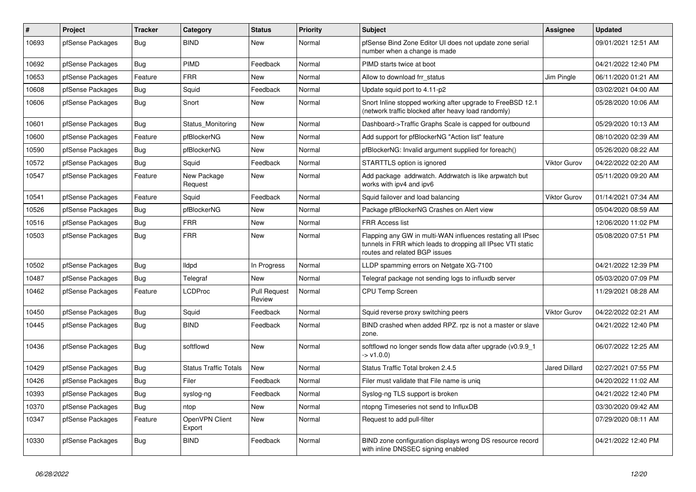| #     | <b>Project</b>   | <b>Tracker</b> | Category                     | <b>Status</b>                 | Priority | <b>Subject</b>                                                                                                                                              | <b>Assignee</b>      | <b>Updated</b>      |
|-------|------------------|----------------|------------------------------|-------------------------------|----------|-------------------------------------------------------------------------------------------------------------------------------------------------------------|----------------------|---------------------|
| 10693 | pfSense Packages | <b>Bug</b>     | <b>BIND</b>                  | <b>New</b>                    | Normal   | pfSense Bind Zone Editor UI does not update zone serial<br>number when a change is made                                                                     |                      | 09/01/2021 12:51 AM |
| 10692 | pfSense Packages | Bug            | PIMD                         | Feedback                      | Normal   | PIMD starts twice at boot                                                                                                                                   |                      | 04/21/2022 12:40 PM |
| 10653 | pfSense Packages | Feature        | <b>FRR</b>                   | <b>New</b>                    | Normal   | Allow to download frr status                                                                                                                                | Jim Pingle           | 06/11/2020 01:21 AM |
| 10608 | pfSense Packages | Bug            | Squid                        | Feedback                      | Normal   | Update squid port to 4.11-p2                                                                                                                                |                      | 03/02/2021 04:00 AM |
| 10606 | pfSense Packages | Bug            | Snort                        | <b>New</b>                    | Normal   | Snort Inline stopped working after upgrade to FreeBSD 12.1<br>(network traffic blocked after heavy load randomly)                                           |                      | 05/28/2020 10:06 AM |
| 10601 | pfSense Packages | Bug            | Status Monitoring            | <b>New</b>                    | Normal   | Dashboard->Traffic Graphs Scale is capped for outbound                                                                                                      |                      | 05/29/2020 10:13 AM |
| 10600 | pfSense Packages | Feature        | pfBlockerNG                  | <b>New</b>                    | Normal   | Add support for pfBlockerNG "Action list" feature                                                                                                           |                      | 08/10/2020 02:39 AM |
| 10590 | pfSense Packages | Bug            | pfBlockerNG                  | <b>New</b>                    | Normal   | pfBlockerNG: Invalid argument supplied for foreach()                                                                                                        |                      | 05/26/2020 08:22 AM |
| 10572 | pfSense Packages | <b>Bug</b>     | Squid                        | Feedback                      | Normal   | STARTTLS option is ignored                                                                                                                                  | <b>Viktor Gurov</b>  | 04/22/2022 02:20 AM |
| 10547 | pfSense Packages | Feature        | New Package<br>Request       | <b>New</b>                    | Normal   | Add package addrwatch. Addrwatch is like arpwatch but<br>works with ipv4 and ipv6                                                                           |                      | 05/11/2020 09:20 AM |
| 10541 | pfSense Packages | Feature        | Squid                        | Feedback                      | Normal   | Squid failover and load balancing                                                                                                                           | Viktor Gurov         | 01/14/2021 07:34 AM |
| 10526 | pfSense Packages | Bug            | pfBlockerNG                  | <b>New</b>                    | Normal   | Package pfBlockerNG Crashes on Alert view                                                                                                                   |                      | 05/04/2020 08:59 AM |
| 10516 | pfSense Packages | <b>Bug</b>     | <b>FRR</b>                   | <b>New</b>                    | Normal   | <b>FRR Access list</b>                                                                                                                                      |                      | 12/06/2020 11:02 PM |
| 10503 | pfSense Packages | Bug            | <b>FRR</b>                   | New                           | Normal   | Flapping any GW in multi-WAN influences restating all IPsec<br>tunnels in FRR which leads to dropping all IPsec VTI static<br>routes and related BGP issues |                      | 05/08/2020 07:51 PM |
| 10502 | pfSense Packages | <b>Bug</b>     | lldpd                        | In Progress                   | Normal   | LLDP spamming errors on Netgate XG-7100                                                                                                                     |                      | 04/21/2022 12:39 PM |
| 10487 | pfSense Packages | Bug            | Telegraf                     | New                           | Normal   | Telegraf package not sending logs to influxdb server                                                                                                        |                      | 05/03/2020 07:09 PM |
| 10462 | pfSense Packages | Feature        | <b>LCDProc</b>               | <b>Pull Request</b><br>Review | Normal   | <b>CPU Temp Screen</b>                                                                                                                                      |                      | 11/29/2021 08:28 AM |
| 10450 | pfSense Packages | <b>Bug</b>     | Squid                        | Feedback                      | Normal   | Squid reverse proxy switching peers                                                                                                                         | Viktor Gurov         | 04/22/2022 02:21 AM |
| 10445 | pfSense Packages | Bug            | <b>BIND</b>                  | Feedback                      | Normal   | BIND crashed when added RPZ. rpz is not a master or slave<br>zone.                                                                                          |                      | 04/21/2022 12:40 PM |
| 10436 | pfSense Packages | <b>Bug</b>     | softflowd                    | <b>New</b>                    | Normal   | softflowd no longer sends flow data after upgrade (v0.9.9 1)<br>$-> v1.0.0$                                                                                 |                      | 06/07/2022 12:25 AM |
| 10429 | pfSense Packages | Bug            | <b>Status Traffic Totals</b> | New                           | Normal   | Status Traffic Total broken 2.4.5                                                                                                                           | <b>Jared Dillard</b> | 02/27/2021 07:55 PM |
| 10426 | pfSense Packages | <b>Bug</b>     | Filer                        | Feedback                      | Normal   | Filer must validate that File name is unig                                                                                                                  |                      | 04/20/2022 11:02 AM |
| 10393 | pfSense Packages | Bug            | syslog-ng                    | Feedback                      | Normal   | Syslog-ng TLS support is broken                                                                                                                             |                      | 04/21/2022 12:40 PM |
| 10370 | pfSense Packages | Bug            | ntop                         | <b>New</b>                    | Normal   | ntopng Timeseries not send to InfluxDB                                                                                                                      |                      | 03/30/2020 09:42 AM |
| 10347 | pfSense Packages | Feature        | OpenVPN Client<br>Export     | New                           | Normal   | Request to add pull-filter                                                                                                                                  |                      | 07/29/2020 08:11 AM |
| 10330 | pfSense Packages | <b>Bug</b>     | <b>BIND</b>                  | Feedback                      | Normal   | BIND zone configuration displays wrong DS resource record<br>with inline DNSSEC signing enabled                                                             |                      | 04/21/2022 12:40 PM |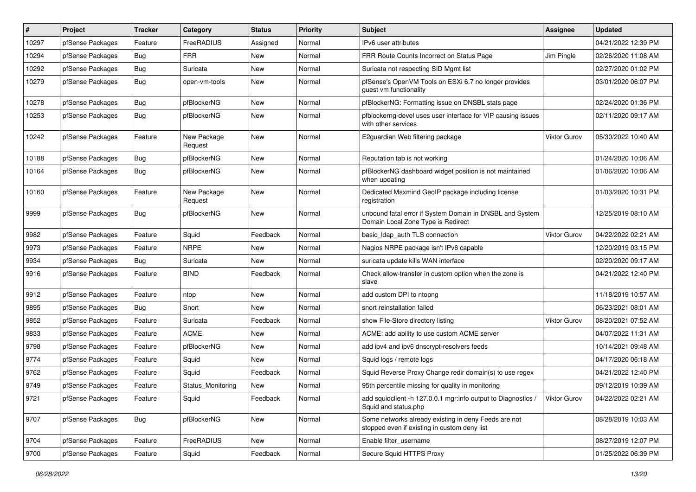| $\pmb{\#}$ | Project          | <b>Tracker</b> | Category               | <b>Status</b> | <b>Priority</b> | <b>Subject</b>                                                                                       | Assignee            | <b>Updated</b>      |
|------------|------------------|----------------|------------------------|---------------|-----------------|------------------------------------------------------------------------------------------------------|---------------------|---------------------|
| 10297      | pfSense Packages | Feature        | FreeRADIUS             | Assigned      | Normal          | IPv6 user attributes                                                                                 |                     | 04/21/2022 12:39 PM |
| 10294      | pfSense Packages | Bug            | <b>FRR</b>             | <b>New</b>    | Normal          | FRR Route Counts Incorrect on Status Page                                                            | Jim Pingle          | 02/26/2020 11:08 AM |
| 10292      | pfSense Packages | <b>Bug</b>     | Suricata               | <b>New</b>    | Normal          | Suricata not respecting SID Mgmt list                                                                |                     | 02/27/2020 01:02 PM |
| 10279      | pfSense Packages | <b>Bug</b>     | open-vm-tools          | New           | Normal          | pfSense's OpenVM Tools on ESXi 6.7 no longer provides<br>guest vm functionality                      |                     | 03/01/2020 06:07 PM |
| 10278      | pfSense Packages | Bug            | pfBlockerNG            | <b>New</b>    | Normal          | pfBlockerNG: Formatting issue on DNSBL stats page                                                    |                     | 02/24/2020 01:36 PM |
| 10253      | pfSense Packages | <b>Bug</b>     | pfBlockerNG            | <b>New</b>    | Normal          | pfblockerng-devel uses user interface for VIP causing issues<br>with other services                  |                     | 02/11/2020 09:17 AM |
| 10242      | pfSense Packages | Feature        | New Package<br>Request | <b>New</b>    | Normal          | E2guardian Web filtering package                                                                     | <b>Viktor Gurov</b> | 05/30/2022 10:40 AM |
| 10188      | pfSense Packages | Bug            | pfBlockerNG            | <b>New</b>    | Normal          | Reputation tab is not working                                                                        |                     | 01/24/2020 10:06 AM |
| 10164      | pfSense Packages | Bug            | pfBlockerNG            | New           | Normal          | pfBlockerNG dashboard widget position is not maintained<br>when updating                             |                     | 01/06/2020 10:06 AM |
| 10160      | pfSense Packages | Feature        | New Package<br>Request | <b>New</b>    | Normal          | Dedicated Maxmind GeoIP package including license<br>registration                                    |                     | 01/03/2020 10:31 PM |
| 9999       | pfSense Packages | <b>Bug</b>     | pfBlockerNG            | <b>New</b>    | Normal          | unbound fatal error if System Domain in DNSBL and System<br>Domain Local Zone Type is Redirect       |                     | 12/25/2019 08:10 AM |
| 9982       | pfSense Packages | Feature        | Squid                  | Feedback      | Normal          | basic_Idap_auth TLS connection                                                                       | <b>Viktor Gurov</b> | 04/22/2022 02:21 AM |
| 9973       | pfSense Packages | Feature        | <b>NRPE</b>            | New           | Normal          | Nagios NRPE package isn't IPv6 capable                                                               |                     | 12/20/2019 03:15 PM |
| 9934       | pfSense Packages | Bug            | Suricata               | <b>New</b>    | Normal          | suricata update kills WAN interface                                                                  |                     | 02/20/2020 09:17 AM |
| 9916       | pfSense Packages | Feature        | <b>BIND</b>            | Feedback      | Normal          | Check allow-transfer in custom option when the zone is<br>slave                                      |                     | 04/21/2022 12:40 PM |
| 9912       | pfSense Packages | Feature        | ntop                   | <b>New</b>    | Normal          | add custom DPI to ntopng                                                                             |                     | 11/18/2019 10:57 AM |
| 9895       | pfSense Packages | <b>Bug</b>     | Snort                  | <b>New</b>    | Normal          | snort reinstallation failed                                                                          |                     | 06/23/2021 08:01 AM |
| 9852       | pfSense Packages | Feature        | Suricata               | Feedback      | Normal          | show File-Store directory listing                                                                    | <b>Viktor Gurov</b> | 08/20/2021 07:52 AM |
| 9833       | pfSense Packages | Feature        | <b>ACME</b>            | <b>New</b>    | Normal          | ACME: add ability to use custom ACME server                                                          |                     | 04/07/2022 11:31 AM |
| 9798       | pfSense Packages | Feature        | pfBlockerNG            | New           | Normal          | add ipv4 and ipv6 dnscrypt-resolvers feeds                                                           |                     | 10/14/2021 09:48 AM |
| 9774       | pfSense Packages | Feature        | Squid                  | <b>New</b>    | Normal          | Squid logs / remote logs                                                                             |                     | 04/17/2020 06:18 AM |
| 9762       | pfSense Packages | Feature        | Squid                  | Feedback      | Normal          | Squid Reverse Proxy Change redir domain(s) to use regex                                              |                     | 04/21/2022 12:40 PM |
| 9749       | pfSense Packages | Feature        | Status Monitoring      | <b>New</b>    | Normal          | 95th percentile missing for quality in monitoring                                                    |                     | 09/12/2019 10:39 AM |
| 9721       | pfSense Packages | Feature        | Squid                  | Feedback      | Normal          | add squidclient -h 127.0.0.1 mgr:info output to Diagnostics /<br>Squid and status.php                | <b>Viktor Gurov</b> | 04/22/2022 02:21 AM |
| 9707       | pfSense Packages | <b>Bug</b>     | pfBlockerNG            | New           | Normal          | Some networks already existing in deny Feeds are not<br>stopped even if existing in custom deny list |                     | 08/28/2019 10:03 AM |
| 9704       | pfSense Packages | Feature        | FreeRADIUS             | New           | Normal          | Enable filter username                                                                               |                     | 08/27/2019 12:07 PM |
| 9700       | pfSense Packages | Feature        | Squid                  | Feedback      | Normal          | Secure Squid HTTPS Proxy                                                                             |                     | 01/25/2022 06:39 PM |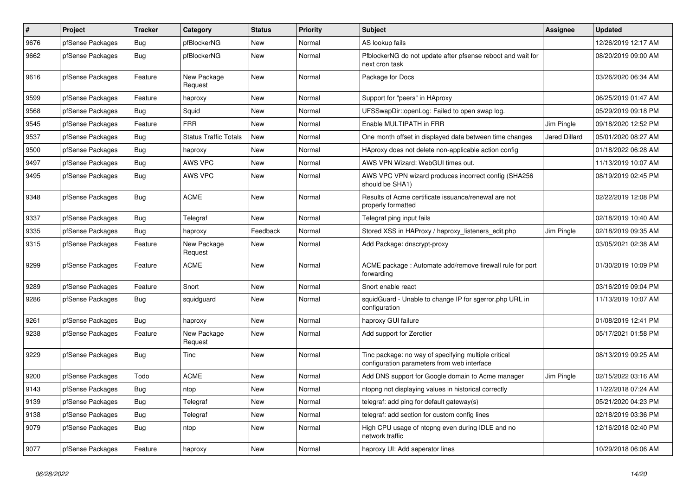| $\#$ | Project          | <b>Tracker</b> | Category                     | <b>Status</b> | <b>Priority</b> | <b>Subject</b>                                                                                      | <b>Assignee</b>      | <b>Updated</b>      |
|------|------------------|----------------|------------------------------|---------------|-----------------|-----------------------------------------------------------------------------------------------------|----------------------|---------------------|
| 9676 | pfSense Packages | <b>Bug</b>     | pfBlockerNG                  | <b>New</b>    | Normal          | AS lookup fails                                                                                     |                      | 12/26/2019 12:17 AM |
| 9662 | pfSense Packages | <b>Bug</b>     | pfBlockerNG                  | <b>New</b>    | Normal          | PfblockerNG do not update after pfsense reboot and wait for<br>next cron task                       |                      | 08/20/2019 09:00 AM |
| 9616 | pfSense Packages | Feature        | New Package<br>Request       | <b>New</b>    | Normal          | Package for Docs                                                                                    |                      | 03/26/2020 06:34 AM |
| 9599 | pfSense Packages | Feature        | haproxy                      | <b>New</b>    | Normal          | Support for "peers" in HAproxy                                                                      |                      | 06/25/2019 01:47 AM |
| 9568 | pfSense Packages | <b>Bug</b>     | Squid                        | New           | Normal          | UFSSwapDir::openLog: Failed to open swap log.                                                       |                      | 05/29/2019 09:18 PM |
| 9545 | pfSense Packages | Feature        | <b>FRR</b>                   | <b>New</b>    | Normal          | Enable MULTIPATH in FRR                                                                             | Jim Pingle           | 09/18/2020 12:52 PM |
| 9537 | pfSense Packages | Bug            | <b>Status Traffic Totals</b> | New           | Normal          | One month offset in displayed data between time changes                                             | <b>Jared Dillard</b> | 05/01/2020 08:27 AM |
| 9500 | pfSense Packages | Bug            | haproxy                      | <b>New</b>    | Normal          | HAproxy does not delete non-applicable action config                                                |                      | 01/18/2022 06:28 AM |
| 9497 | pfSense Packages | <b>Bug</b>     | <b>AWS VPC</b>               | New           | Normal          | AWS VPN Wizard: WebGUI times out.                                                                   |                      | 11/13/2019 10:07 AM |
| 9495 | pfSense Packages | <b>Bug</b>     | AWS VPC                      | New           | Normal          | AWS VPC VPN wizard produces incorrect config (SHA256<br>should be SHA1)                             |                      | 08/19/2019 02:45 PM |
| 9348 | pfSense Packages | Bug            | <b>ACME</b>                  | <b>New</b>    | Normal          | Results of Acme certificate issuance/renewal are not<br>properly formatted                          |                      | 02/22/2019 12:08 PM |
| 9337 | pfSense Packages | Bug            | Telegraf                     | <b>New</b>    | Normal          | Telegraf ping input fails                                                                           |                      | 02/18/2019 10:40 AM |
| 9335 | pfSense Packages | Bug            | haproxy                      | Feedback      | Normal          | Stored XSS in HAProxy / haproxy_listeners_edit.php                                                  | Jim Pingle           | 02/18/2019 09:35 AM |
| 9315 | pfSense Packages | Feature        | New Package<br>Request       | <b>New</b>    | Normal          | Add Package: dnscrypt-proxy                                                                         |                      | 03/05/2021 02:38 AM |
| 9299 | pfSense Packages | Feature        | <b>ACME</b>                  | <b>New</b>    | Normal          | ACME package: Automate add/remove firewall rule for port<br>forwarding                              |                      | 01/30/2019 10:09 PM |
| 9289 | pfSense Packages | Feature        | Snort                        | <b>New</b>    | Normal          | Snort enable react                                                                                  |                      | 03/16/2019 09:04 PM |
| 9286 | pfSense Packages | Bug            | squidguard                   | New           | Normal          | squidGuard - Unable to change IP for sgerror.php URL in<br>configuration                            |                      | 11/13/2019 10:07 AM |
| 9261 | pfSense Packages | Bug            | haproxy                      | <b>New</b>    | Normal          | haproxy GUI failure                                                                                 |                      | 01/08/2019 12:41 PM |
| 9238 | pfSense Packages | Feature        | New Package<br>Request       | <b>New</b>    | Normal          | Add support for Zerotier                                                                            |                      | 05/17/2021 01:58 PM |
| 9229 | pfSense Packages | Bug            | Tinc                         | <b>New</b>    | Normal          | Tinc package: no way of specifying multiple critical<br>configuration parameters from web interface |                      | 08/13/2019 09:25 AM |
| 9200 | pfSense Packages | Todo           | <b>ACME</b>                  | New           | Normal          | Add DNS support for Google domain to Acme manager                                                   | Jim Pingle           | 02/15/2022 03:16 AM |
| 9143 | pfSense Packages | <b>Bug</b>     | ntop                         | <b>New</b>    | Normal          | ntopng not displaying values in historical correctly                                                |                      | 11/22/2018 07:24 AM |
| 9139 | pfSense Packages | Bug            | Telegraf                     | New           | Normal          | telegraf: add ping for default gateway(s)                                                           |                      | 05/21/2020 04:23 PM |
| 9138 | pfSense Packages | Bug            | Telegraf                     | New           | Normal          | telegraf: add section for custom config lines                                                       |                      | 02/18/2019 03:36 PM |
| 9079 | pfSense Packages | Bug            | ntop                         | New           | Normal          | High CPU usage of ntopng even during IDLE and no<br>network traffic                                 |                      | 12/16/2018 02:40 PM |
| 9077 | pfSense Packages | Feature        | haproxy                      | New           | Normal          | haproxy UI: Add seperator lines                                                                     |                      | 10/29/2018 06:06 AM |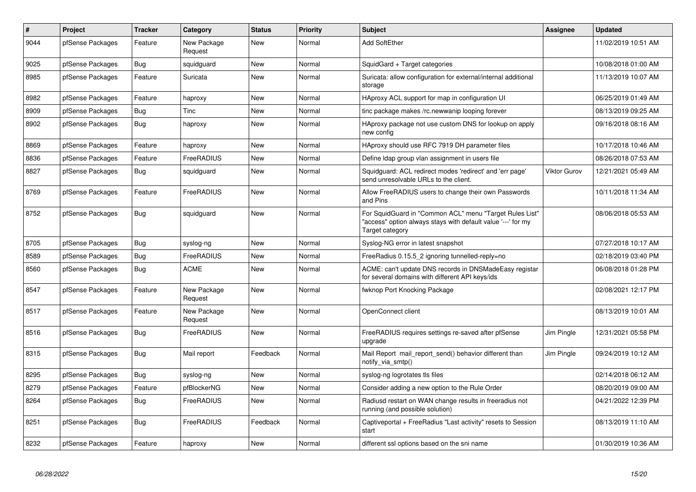| $\#$ | Project          | <b>Tracker</b> | Category               | <b>Status</b> | <b>Priority</b> | <b>Subject</b>                                                                                                                             | <b>Assignee</b> | <b>Updated</b>      |
|------|------------------|----------------|------------------------|---------------|-----------------|--------------------------------------------------------------------------------------------------------------------------------------------|-----------------|---------------------|
| 9044 | pfSense Packages | Feature        | New Package<br>Request | <b>New</b>    | Normal          | <b>Add SoftEther</b>                                                                                                                       |                 | 11/02/2019 10:51 AM |
| 9025 | pfSense Packages | <b>Bug</b>     | squidguard             | <b>New</b>    | Normal          | SquidGard + Target categories                                                                                                              |                 | 10/08/2018 01:00 AM |
| 8985 | pfSense Packages | Feature        | Suricata               | New           | Normal          | Suricata: allow configuration for external/internal additional<br>storage                                                                  |                 | 11/13/2019 10:07 AM |
| 8982 | pfSense Packages | Feature        | haproxy                | <b>New</b>    | Normal          | HAproxy ACL support for map in configuration UI                                                                                            |                 | 06/25/2019 01:49 AM |
| 8909 | pfSense Packages | Bug            | Tinc                   | <b>New</b>    | Normal          | tinc package makes /rc.newwanip looping forever                                                                                            |                 | 08/13/2019 09:25 AM |
| 8902 | pfSense Packages | Bug            | haproxy                | <b>New</b>    | Normal          | HAproxy package not use custom DNS for lookup on apply<br>new config                                                                       |                 | 09/16/2018 08:16 AM |
| 8869 | pfSense Packages | Feature        | haproxy                | <b>New</b>    | Normal          | HAproxy should use RFC 7919 DH parameter files                                                                                             |                 | 10/17/2018 10:46 AM |
| 8836 | pfSense Packages | Feature        | FreeRADIUS             | <b>New</b>    | Normal          | Define Idap group vlan assignment in users file                                                                                            |                 | 08/26/2018 07:53 AM |
| 8827 | pfSense Packages | <b>Bug</b>     | squidguard             | New           | Normal          | Squidguard: ACL redirect modes 'redirect' and 'err page'<br>send unresolvable URLs to the client.                                          | Viktor Gurov    | 12/21/2021 05:49 AM |
| 8769 | pfSense Packages | Feature        | FreeRADIUS             | <b>New</b>    | Normal          | Allow FreeRADIUS users to change their own Passwords<br>and Pins                                                                           |                 | 10/11/2018 11:34 AM |
| 8752 | pfSense Packages | Bug            | squidguard             | <b>New</b>    | Normal          | For SquidGuard in "Common ACL" menu "Target Rules List"<br>'access" option always stays with default value '---' for my<br>Target category |                 | 08/06/2018 05:53 AM |
| 8705 | pfSense Packages | Bug            | syslog-ng              | <b>New</b>    | Normal          | Syslog-NG error in latest snapshot                                                                                                         |                 | 07/27/2018 10:17 AM |
| 8589 | pfSense Packages | Bug            | FreeRADIUS             | <b>New</b>    | Normal          | FreeRadius 0.15.5_2 ignoring tunnelled-reply=no                                                                                            |                 | 02/18/2019 03:40 PM |
| 8560 | pfSense Packages | Bug            | <b>ACME</b>            | <b>New</b>    | Normal          | ACME: can't update DNS records in DNSMadeEasy registar<br>for several domains with different API keys/ids                                  |                 | 06/08/2018 01:28 PM |
| 8547 | pfSense Packages | Feature        | New Package<br>Request | <b>New</b>    | Normal          | fwknop Port Knocking Package                                                                                                               |                 | 02/08/2021 12:17 PM |
| 8517 | pfSense Packages | Feature        | New Package<br>Request | <b>New</b>    | Normal          | OpenConnect client                                                                                                                         |                 | 08/13/2019 10:01 AM |
| 8516 | pfSense Packages | Bug            | FreeRADIUS             | <b>New</b>    | Normal          | FreeRADIUS requires settings re-saved after pfSense<br>upgrade                                                                             | Jim Pingle      | 12/31/2021 05:58 PM |
| 8315 | pfSense Packages | Bug            | Mail report            | Feedback      | Normal          | Mail Report mail report send() behavior different than<br>notify_via_smtp()                                                                | Jim Pingle      | 09/24/2019 10:12 AM |
| 8295 | pfSense Packages | <b>Bug</b>     | syslog-ng              | <b>New</b>    | Normal          | syslog-ng logrotates tls files                                                                                                             |                 | 02/14/2018 06:12 AM |
| 8279 | pfSense Packages | Feature        | pfBlockerNG            | <b>New</b>    | Normal          | Consider adding a new option to the Rule Order                                                                                             |                 | 08/20/2019 09:00 AM |
| 8264 | pfSense Packages | Bug            | FreeRADIUS             | <b>New</b>    | Normal          | Radiusd restart on WAN change results in freeradius not<br>running (and possible solution)                                                 |                 | 04/21/2022 12:39 PM |
| 8251 | pfSense Packages | Bug            | FreeRADIUS             | Feedback      | Normal          | Captiveportal + FreeRadius "Last activity" resets to Session<br>start                                                                      |                 | 08/13/2019 11:10 AM |
| 8232 | pfSense Packages | Feature        | haproxy                | New           | Normal          | different ssl options based on the sni name                                                                                                |                 | 01/30/2019 10:36 AM |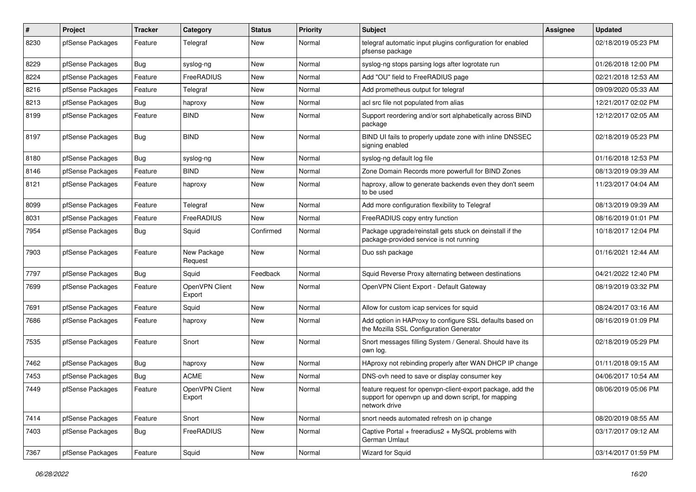| $\pmb{\#}$ | Project          | <b>Tracker</b> | Category                 | <b>Status</b> | <b>Priority</b> | <b>Subject</b>                                                                                                                     | Assignee | <b>Updated</b>      |
|------------|------------------|----------------|--------------------------|---------------|-----------------|------------------------------------------------------------------------------------------------------------------------------------|----------|---------------------|
| 8230       | pfSense Packages | Feature        | Telegraf                 | New           | Normal          | telegraf automatic input plugins configuration for enabled<br>pfsense package                                                      |          | 02/18/2019 05:23 PM |
| 8229       | pfSense Packages | Bug            | syslog-ng                | <b>New</b>    | Normal          | syslog-ng stops parsing logs after logrotate run                                                                                   |          | 01/26/2018 12:00 PM |
| 8224       | pfSense Packages | Feature        | FreeRADIUS               | <b>New</b>    | Normal          | Add "OU" field to FreeRADIUS page                                                                                                  |          | 02/21/2018 12:53 AM |
| 8216       | pfSense Packages | Feature        | Telegraf                 | <b>New</b>    | Normal          | Add prometheus output for telegraf                                                                                                 |          | 09/09/2020 05:33 AM |
| 8213       | pfSense Packages | <b>Bug</b>     | haproxy                  | New           | Normal          | acl src file not populated from alias                                                                                              |          | 12/21/2017 02:02 PM |
| 8199       | pfSense Packages | Feature        | <b>BIND</b>              | <b>New</b>    | Normal          | Support reordering and/or sort alphabetically across BIND<br>package                                                               |          | 12/12/2017 02:05 AM |
| 8197       | pfSense Packages | Bug            | <b>BIND</b>              | <b>New</b>    | Normal          | BIND UI fails to properly update zone with inline DNSSEC<br>signing enabled                                                        |          | 02/18/2019 05:23 PM |
| 8180       | pfSense Packages | <b>Bug</b>     | syslog-ng                | <b>New</b>    | Normal          | syslog-ng default log file                                                                                                         |          | 01/16/2018 12:53 PM |
| 8146       | pfSense Packages | Feature        | <b>BIND</b>              | <b>New</b>    | Normal          | Zone Domain Records more powerfull for BIND Zones                                                                                  |          | 08/13/2019 09:39 AM |
| 8121       | pfSense Packages | Feature        | haproxy                  | <b>New</b>    | Normal          | haproxy, allow to generate backends even they don't seem<br>to be used                                                             |          | 11/23/2017 04:04 AM |
| 8099       | pfSense Packages | Feature        | Telegraf                 | <b>New</b>    | Normal          | Add more configuration flexibility to Telegraf                                                                                     |          | 08/13/2019 09:39 AM |
| 8031       | pfSense Packages | Feature        | FreeRADIUS               | New           | Normal          | FreeRADIUS copy entry function                                                                                                     |          | 08/16/2019 01:01 PM |
| 7954       | pfSense Packages | <b>Bug</b>     | Squid                    | Confirmed     | Normal          | Package upgrade/reinstall gets stuck on deinstall if the<br>package-provided service is not running                                |          | 10/18/2017 12:04 PM |
| 7903       | pfSense Packages | Feature        | New Package<br>Request   | New           | Normal          | Duo ssh package                                                                                                                    |          | 01/16/2021 12:44 AM |
| 7797       | pfSense Packages | Bug            | Squid                    | Feedback      | Normal          | Squid Reverse Proxy alternating between destinations                                                                               |          | 04/21/2022 12:40 PM |
| 7699       | pfSense Packages | Feature        | OpenVPN Client<br>Export | New           | Normal          | OpenVPN Client Export - Default Gateway                                                                                            |          | 08/19/2019 03:32 PM |
| 7691       | pfSense Packages | Feature        | Squid                    | <b>New</b>    | Normal          | Allow for custom icap services for squid                                                                                           |          | 08/24/2017 03:16 AM |
| 7686       | pfSense Packages | Feature        | haproxy                  | New           | Normal          | Add option in HAProxy to configure SSL defaults based on<br>the Mozilla SSL Configuration Generator                                |          | 08/16/2019 01:09 PM |
| 7535       | pfSense Packages | Feature        | Snort                    | <b>New</b>    | Normal          | Snort messages filling System / General. Should have its<br>own log.                                                               |          | 02/18/2019 05:29 PM |
| 7462       | pfSense Packages | Bug            | haproxy                  | <b>New</b>    | Normal          | HAproxy not rebinding properly after WAN DHCP IP change                                                                            |          | 01/11/2018 09:15 AM |
| 7453       | pfSense Packages | Bug            | ACME                     | New           | Normal          | DNS-ovh need to save or display consumer key                                                                                       |          | 04/06/2017 10:54 AM |
| 7449       | pfSense Packages | Feature        | OpenVPN Client<br>Export | New           | Normal          | feature request for openypn-client-export package, add the<br>support for openvpn up and down script, for mapping<br>network drive |          | 08/06/2019 05:06 PM |
| 7414       | pfSense Packages | Feature        | Snort                    | New           | Normal          | snort needs automated refresh on ip change                                                                                         |          | 08/20/2019 08:55 AM |
| 7403       | pfSense Packages | <b>Bug</b>     | FreeRADIUS               | New           | Normal          | Captive Portal + freeradius2 + MySQL problems with<br>German Umlaut                                                                |          | 03/17/2017 09:12 AM |
| 7367       | pfSense Packages | Feature        | Squid                    | New           | Normal          | Wizard for Squid                                                                                                                   |          | 03/14/2017 01:59 PM |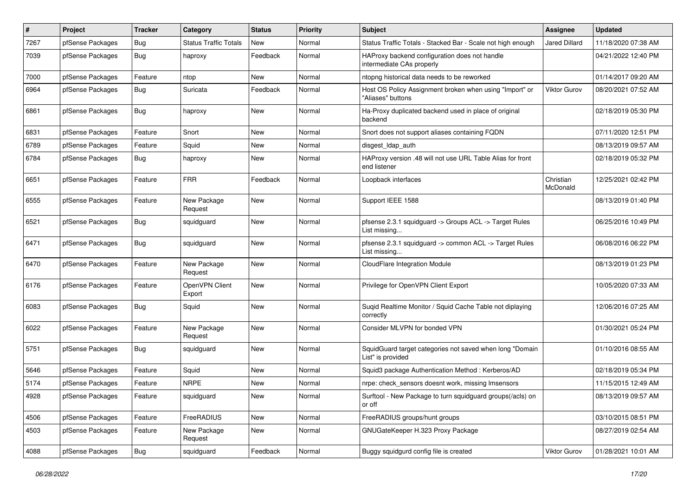| $\sharp$ | Project          | <b>Tracker</b> | Category                     | <b>Status</b> | <b>Priority</b> | <b>Subject</b>                                                                | <b>Assignee</b>       | <b>Updated</b>      |
|----------|------------------|----------------|------------------------------|---------------|-----------------|-------------------------------------------------------------------------------|-----------------------|---------------------|
| 7267     | pfSense Packages | <b>Bug</b>     | <b>Status Traffic Totals</b> | New           | Normal          | Status Traffic Totals - Stacked Bar - Scale not high enough                   | <b>Jared Dillard</b>  | 11/18/2020 07:38 AM |
| 7039     | pfSense Packages | <b>Bug</b>     | haproxy                      | Feedback      | Normal          | HAProxy backend configuration does not handle<br>intermediate CAs properly    |                       | 04/21/2022 12:40 PM |
| 7000     | pfSense Packages | Feature        | ntop                         | <b>New</b>    | Normal          | ntopng historical data needs to be reworked                                   |                       | 01/14/2017 09:20 AM |
| 6964     | pfSense Packages | Bug            | Suricata                     | Feedback      | Normal          | Host OS Policy Assignment broken when using "Import" or<br>"Aliases" buttons  | Viktor Gurov          | 08/20/2021 07:52 AM |
| 6861     | pfSense Packages | <b>Bug</b>     | haproxy                      | <b>New</b>    | Normal          | Ha-Proxy duplicated backend used in place of original<br>backend              |                       | 02/18/2019 05:30 PM |
| 6831     | pfSense Packages | Feature        | Snort                        | <b>New</b>    | Normal          | Snort does not support aliases containing FQDN                                |                       | 07/11/2020 12:51 PM |
| 6789     | pfSense Packages | Feature        | Squid                        | <b>New</b>    | Normal          | disgest_ldap_auth                                                             |                       | 08/13/2019 09:57 AM |
| 6784     | pfSense Packages | Bug            | haproxy                      | <b>New</b>    | Normal          | HAProxy version .48 will not use URL Table Alias for front<br>end listener    |                       | 02/18/2019 05:32 PM |
| 6651     | pfSense Packages | Feature        | <b>FRR</b>                   | Feedback      | Normal          | Loopback interfaces                                                           | Christian<br>McDonald | 12/25/2021 02:42 PM |
| 6555     | pfSense Packages | Feature        | New Package<br>Request       | <b>New</b>    | Normal          | Support IEEE 1588                                                             |                       | 08/13/2019 01:40 PM |
| 6521     | pfSense Packages | Bug            | squidguard                   | New           | Normal          | pfsense 2.3.1 squidguard -> Groups ACL -> Target Rules<br>List missing        |                       | 06/25/2016 10:49 PM |
| 6471     | pfSense Packages | Bug            | squidguard                   | <b>New</b>    | Normal          | pfsense 2.3.1 squidguard -> common ACL -> Target Rules<br>List missing        |                       | 06/08/2016 06:22 PM |
| 6470     | pfSense Packages | Feature        | New Package<br>Request       | <b>New</b>    | Normal          | CloudFlare Integration Module                                                 |                       | 08/13/2019 01:23 PM |
| 6176     | pfSense Packages | Feature        | OpenVPN Client<br>Export     | <b>New</b>    | Normal          | Privilege for OpenVPN Client Export                                           |                       | 10/05/2020 07:33 AM |
| 6083     | pfSense Packages | Bug            | Squid                        | <b>New</b>    | Normal          | Suqid Realtime Monitor / Squid Cache Table not diplaying<br>correctly         |                       | 12/06/2016 07:25 AM |
| 6022     | pfSense Packages | Feature        | New Package<br>Request       | New           | Normal          | Consider MLVPN for bonded VPN                                                 |                       | 01/30/2021 05:24 PM |
| 5751     | pfSense Packages | <b>Bug</b>     | squidguard                   | <b>New</b>    | Normal          | SquidGuard target categories not saved when long "Domain<br>List" is provided |                       | 01/10/2016 08:55 AM |
| 5646     | pfSense Packages | Feature        | Squid                        | <b>New</b>    | Normal          | Squid3 package Authentication Method: Kerberos/AD                             |                       | 02/18/2019 05:34 PM |
| 5174     | pfSense Packages | Feature        | <b>NRPE</b>                  | <b>New</b>    | Normal          | nrpe: check sensors doesnt work, missing Imsensors                            |                       | 11/15/2015 12:49 AM |
| 4928     | pfSense Packages | Feature        | squidguard                   | New           | Normal          | Surftool - New Package to turn squidguard groups(/acls) on<br>or off          |                       | 08/13/2019 09:57 AM |
| 4506     | pfSense Packages | Feature        | FreeRADIUS                   | New           | Normal          | FreeRADIUS groups/hunt groups                                                 |                       | 03/10/2015 08:51 PM |
| 4503     | pfSense Packages | Feature        | New Package<br>Request       | New           | Normal          | GNUGateKeeper H.323 Proxy Package                                             |                       | 08/27/2019 02:54 AM |
| 4088     | pfSense Packages | <b>Bug</b>     | squidguard                   | Feedback      | Normal          | Buggy squidgurd config file is created                                        | Viktor Gurov          | 01/28/2021 10:01 AM |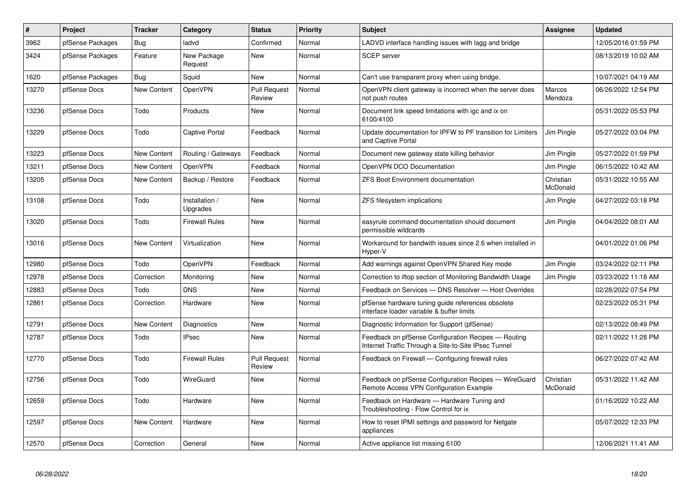| $\sharp$ | Project          | <b>Tracker</b>     | Category                   | <b>Status</b>                 | <b>Priority</b> | <b>Subject</b>                                                                                              | Assignee              | <b>Updated</b>      |
|----------|------------------|--------------------|----------------------------|-------------------------------|-----------------|-------------------------------------------------------------------------------------------------------------|-----------------------|---------------------|
| 3962     | pfSense Packages | Bug                | ladvd                      | Confirmed                     | Normal          | LADVD interface handling issues with lagg and bridge                                                        |                       | 12/05/2016 01:59 PM |
| 3424     | pfSense Packages | Feature            | New Package<br>Request     | <b>New</b>                    | Normal          | <b>SCEP</b> server                                                                                          |                       | 08/13/2019 10:02 AM |
| 1620     | pfSense Packages | Bug                | Squid                      | <b>New</b>                    | Normal          | Can't use transparent proxy when using bridge.                                                              |                       | 10/07/2021 04:19 AM |
| 13270    | pfSense Docs     | New Content        | OpenVPN                    | <b>Pull Request</b><br>Review | Normal          | OpenVPN client gateway is incorrect when the server does<br>not push routes                                 | Marcos<br>Mendoza     | 06/26/2022 12:54 PM |
| 13236    | pfSense Docs     | Todo               | Products                   | <b>New</b>                    | Normal          | Document link speed limitations with igc and ix on<br>6100/4100                                             |                       | 05/31/2022 05:53 PM |
| 13229    | pfSense Docs     | Todo               | <b>Captive Portal</b>      | Feedback                      | Normal          | Update documentation for IPFW to PF transition for Limiters<br>and Captive Portal                           | Jim Pingle            | 05/27/2022 03:04 PM |
| 13223    | pfSense Docs     | New Content        | Routing / Gateways         | Feedback                      | Normal          | Document new gateway state killing behavior                                                                 | Jim Pingle            | 05/27/2022 01:59 PM |
| 13211    | pfSense Docs     | <b>New Content</b> | <b>OpenVPN</b>             | Feedback                      | Normal          | OpenVPN DCO Documentation                                                                                   | Jim Pingle            | 06/15/2022 10:42 AM |
| 13205    | pfSense Docs     | New Content        | Backup / Restore           | Feedback                      | Normal          | <b>ZFS Boot Environment documentation</b>                                                                   | Christian<br>McDonald | 05/31/2022 10:55 AM |
| 13108    | pfSense Docs     | Todo               | Installation /<br>Upgrades | <b>New</b>                    | Normal          | ZFS filesystem implications                                                                                 | Jim Pingle            | 04/27/2022 03:18 PM |
| 13020    | pfSense Docs     | Todo               | <b>Firewall Rules</b>      | <b>New</b>                    | Normal          | easyrule command documentation should document<br>permissible wildcards                                     | Jim Pingle            | 04/04/2022 08:01 AM |
| 13016    | pfSense Docs     | <b>New Content</b> | Virtualization             | <b>New</b>                    | Normal          | Workaround for bandwith issues since 2.6 when installed in<br>Hyper-V                                       |                       | 04/01/2022 01:06 PM |
| 12980    | pfSense Docs     | Todo               | OpenVPN                    | Feedback                      | Normal          | Add warnings against OpenVPN Shared Key mode                                                                | Jim Pingle            | 03/24/2022 02:11 PM |
| 12978    | pfSense Docs     | Correction         | Monitoring                 | New                           | Normal          | Correction to iftop section of Monitoring Bandwidth Usage                                                   | Jim Pingle            | 03/23/2022 11:18 AM |
| 12883    | pfSense Docs     | Todo               | <b>DNS</b>                 | <b>New</b>                    | Normal          | Feedback on Services - DNS Resolver - Host Overrides                                                        |                       | 02/28/2022 07:54 PM |
| 12861    | pfSense Docs     | Correction         | Hardware                   | <b>New</b>                    | Normal          | pfSense hardware tuning guide references obsolete<br>interface loader variable & buffer limits              |                       | 02/23/2022 05:31 PM |
| 12791    | pfSense Docs     | New Content        | Diagnostics                | <b>New</b>                    | Normal          | Diagnostic Information for Support (pfSense)                                                                |                       | 02/13/2022 08:49 PM |
| 12787    | pfSense Docs     | Todo               | <b>IPsec</b>               | New                           | Normal          | Feedback on pfSense Configuration Recipes - Routing<br>Internet Traffic Through a Site-to-Site IPsec Tunnel |                       | 02/11/2022 11:28 PM |
| 12770    | pfSense Docs     | Todo               | <b>Firewall Rules</b>      | <b>Pull Request</b><br>Review | Normal          | Feedback on Firewall - Configuring firewall rules                                                           |                       | 06/27/2022 07:42 AM |
| 12756    | pfSense Docs     | Todo               | WireGuard                  | New                           | Normal          | Feedback on pfSense Configuration Recipes - WireGuard<br>Remote Access VPN Configuration Example            | Christian<br>McDonald | 05/31/2022 11:42 AM |
| 12659    | pfSense Docs     | Todo               | Hardware                   | <b>New</b>                    | Normal          | Feedback on Hardware - Hardware Tuning and<br>Troubleshooting - Flow Control for ix                         |                       | 01/16/2022 10:22 AM |
| 12597    | pfSense Docs     | New Content        | Hardware                   | New                           | Normal          | How to reset IPMI settings and password for Netgate<br>appliances                                           |                       | 05/07/2022 12:33 PM |
| 12570    | pfSense Docs     | Correction         | General                    | New                           | Normal          | Active appliance list missing 6100                                                                          |                       | 12/06/2021 11:41 AM |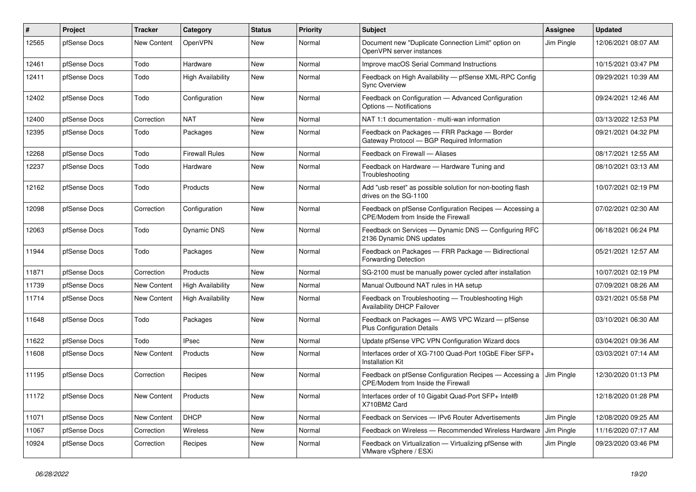| #     | Project      | <b>Tracker</b> | Category                 | <b>Status</b> | <b>Priority</b> | Subject                                                                                       | <b>Assignee</b> | <b>Updated</b>      |
|-------|--------------|----------------|--------------------------|---------------|-----------------|-----------------------------------------------------------------------------------------------|-----------------|---------------------|
| 12565 | pfSense Docs | New Content    | OpenVPN                  | New           | Normal          | Document new "Duplicate Connection Limit" option on<br>OpenVPN server instances               | Jim Pingle      | 12/06/2021 08:07 AM |
| 12461 | pfSense Docs | Todo           | Hardware                 | <b>New</b>    | Normal          | Improve macOS Serial Command Instructions                                                     |                 | 10/15/2021 03:47 PM |
| 12411 | pfSense Docs | Todo           | <b>High Availability</b> | New           | Normal          | Feedback on High Availability - pfSense XML-RPC Config<br><b>Sync Overview</b>                |                 | 09/29/2021 10:39 AM |
| 12402 | pfSense Docs | Todo           | Configuration            | <b>New</b>    | Normal          | Feedback on Configuration - Advanced Configuration<br>Options - Notifications                 |                 | 09/24/2021 12:46 AM |
| 12400 | pfSense Docs | Correction     | <b>NAT</b>               | <b>New</b>    | Normal          | NAT 1:1 documentation - multi-wan information                                                 |                 | 03/13/2022 12:53 PM |
| 12395 | pfSense Docs | Todo           | Packages                 | New           | Normal          | Feedback on Packages - FRR Package - Border<br>Gateway Protocol - BGP Required Information    |                 | 09/21/2021 04:32 PM |
| 12268 | pfSense Docs | Todo           | <b>Firewall Rules</b>    | New           | Normal          | Feedback on Firewall - Aliases                                                                |                 | 08/17/2021 12:55 AM |
| 12237 | pfSense Docs | Todo           | Hardware                 | New           | Normal          | Feedback on Hardware - Hardware Tuning and<br>Troubleshooting                                 |                 | 08/10/2021 03:13 AM |
| 12162 | pfSense Docs | Todo           | Products                 | <b>New</b>    | Normal          | Add "usb reset" as possible solution for non-booting flash<br>drives on the SG-1100           |                 | 10/07/2021 02:19 PM |
| 12098 | pfSense Docs | Correction     | Configuration            | <b>New</b>    | Normal          | Feedback on pfSense Configuration Recipes - Accessing a<br>CPE/Modem from Inside the Firewall |                 | 07/02/2021 02:30 AM |
| 12063 | pfSense Docs | Todo           | Dynamic DNS              | New           | Normal          | Feedback on Services - Dynamic DNS - Configuring RFC<br>2136 Dynamic DNS updates              |                 | 06/18/2021 06:24 PM |
| 11944 | pfSense Docs | Todo           | Packages                 | <b>New</b>    | Normal          | Feedback on Packages - FRR Package - Bidirectional<br><b>Forwarding Detection</b>             |                 | 05/21/2021 12:57 AM |
| 11871 | pfSense Docs | Correction     | Products                 | <b>New</b>    | Normal          | SG-2100 must be manually power cycled after installation                                      |                 | 10/07/2021 02:19 PM |
| 11739 | pfSense Docs | New Content    | <b>High Availability</b> | <b>New</b>    | Normal          | Manual Outbound NAT rules in HA setup                                                         |                 | 07/09/2021 08:26 AM |
| 11714 | pfSense Docs | New Content    | <b>High Availability</b> | New           | Normal          | Feedback on Troubleshooting - Troubleshooting High<br>Availability DHCP Failover              |                 | 03/21/2021 05:58 PM |
| 11648 | pfSense Docs | Todo           | Packages                 | <b>New</b>    | Normal          | Feedback on Packages - AWS VPC Wizard - pfSense<br><b>Plus Configuration Details</b>          |                 | 03/10/2021 06:30 AM |
| 11622 | pfSense Docs | Todo           | <b>IPsec</b>             | <b>New</b>    | Normal          | Update pfSense VPC VPN Configuration Wizard docs                                              |                 | 03/04/2021 09:36 AM |
| 11608 | pfSense Docs | New Content    | Products                 | New           | Normal          | Interfaces order of XG-7100 Quad-Port 10GbE Fiber SFP+<br><b>Installation Kit</b>             |                 | 03/03/2021 07:14 AM |
| 11195 | pfSense Docs | Correction     | Recipes                  | <b>New</b>    | Normal          | Feedback on pfSense Configuration Recipes - Accessing a<br>CPE/Modem from Inside the Firewall | Jim Pingle      | 12/30/2020 01:13 PM |
| 11172 | pfSense Docs | New Content    | Products                 | New           | Normal          | Interfaces order of 10 Gigabit Quad-Port SFP+ Intel®<br>X710BM2 Card                          |                 | 12/18/2020 01:28 PM |
| 11071 | pfSense Docs | New Content    | <b>DHCP</b>              | New           | Normal          | Feedback on Services - IPv6 Router Advertisements                                             | Jim Pingle      | 12/08/2020 09:25 AM |
| 11067 | pfSense Docs | Correction     | Wireless                 | New           | Normal          | Feedback on Wireless - Recommended Wireless Hardware                                          | Jim Pingle      | 11/16/2020 07:17 AM |
| 10924 | pfSense Docs | Correction     | Recipes                  | New           | Normal          | Feedback on Virtualization - Virtualizing pfSense with<br>VMware vSphere / ESXi               | Jim Pingle      | 09/23/2020 03:46 PM |